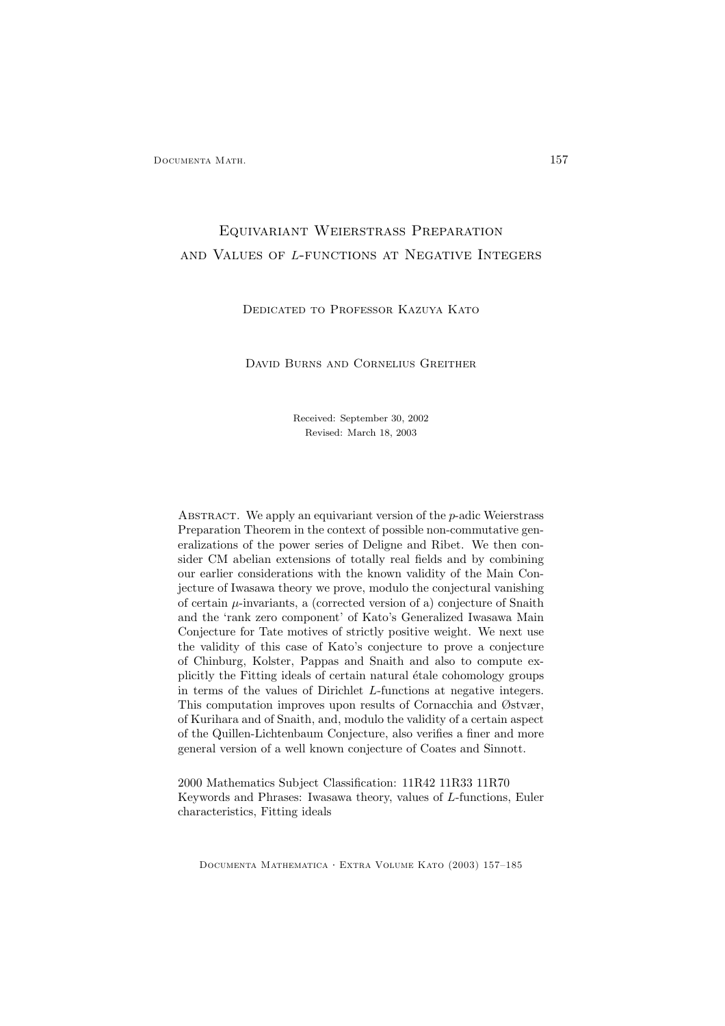Documenta Math. 157

# Equivariant Weierstrass Preparation and Values of L-functions at Negative Integers

# Dedicated to Professor Kazuya Kato

# David Burns and Cornelius Greither

Received: September 30, 2002 Revised: March 18, 2003

ABSTRACT. We apply an equivariant version of the p-adic Weierstrass Preparation Theorem in the context of possible non-commutative generalizations of the power series of Deligne and Ribet. We then consider CM abelian extensions of totally real fields and by combining our earlier considerations with the known validity of the Main Conjecture of Iwasawa theory we prove, modulo the conjectural vanishing of certain  $\mu$ -invariants, a (corrected version of a) conjecture of Snaith and the 'rank zero component' of Kato's Generalized Iwasawa Main Conjecture for Tate motives of strictly positive weight. We next use the validity of this case of Kato's conjecture to prove a conjecture of Chinburg, Kolster, Pappas and Snaith and also to compute explicitly the Fitting ideals of certain natural étale cohomology groups in terms of the values of Dirichlet L-functions at negative integers. This computation improves upon results of Cornacchia and Østvær, of Kurihara and of Snaith, and, modulo the validity of a certain aspect of the Quillen-Lichtenbaum Conjecture, also verifies a finer and more general version of a well known conjecture of Coates and Sinnott.

2000 Mathematics Subject Classification: 11R42 11R33 11R70 Keywords and Phrases: Iwasawa theory, values of L-functions, Euler characteristics, Fitting ideals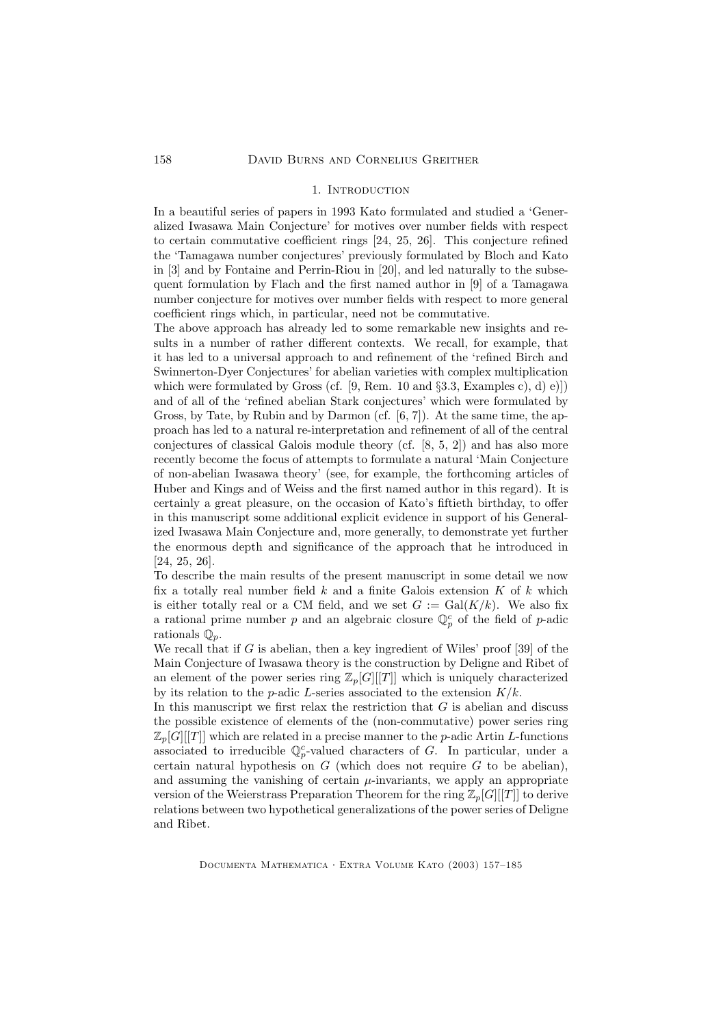#### 1. INTRODUCTION

In a beautiful series of papers in 1993 Kato formulated and studied a 'Generalized Iwasawa Main Conjecture' for motives over number fields with respect to certain commutative coefficient rings [24, 25, 26]. This conjecture refined the 'Tamagawa number conjectures' previously formulated by Bloch and Kato in [3] and by Fontaine and Perrin-Riou in [20], and led naturally to the subsequent formulation by Flach and the first named author in [9] of a Tamagawa number conjecture for motives over number fields with respect to more general coefficient rings which, in particular, need not be commutative.

The above approach has already led to some remarkable new insights and results in a number of rather different contexts. We recall, for example, that it has led to a universal approach to and refinement of the 'refined Birch and Swinnerton-Dyer Conjectures' for abelian varieties with complex multiplication which were formulated by Gross (cf.  $[9,$  Rem. 10 and  $\S 3.3,$  Examples c), d) e)]) and of all of the 'refined abelian Stark conjectures' which were formulated by Gross, by Tate, by Rubin and by Darmon (cf. [6, 7]). At the same time, the approach has led to a natural re-interpretation and refinement of all of the central conjectures of classical Galois module theory (cf. [8, 5, 2]) and has also more recently become the focus of attempts to formulate a natural 'Main Conjecture of non-abelian Iwasawa theory' (see, for example, the forthcoming articles of Huber and Kings and of Weiss and the first named author in this regard). It is certainly a great pleasure, on the occasion of Kato's fiftieth birthday, to offer in this manuscript some additional explicit evidence in support of his Generalized Iwasawa Main Conjecture and, more generally, to demonstrate yet further the enormous depth and significance of the approach that he introduced in [24, 25, 26].

To describe the main results of the present manuscript in some detail we now fix a totally real number field  $k$  and a finite Galois extension  $K$  of  $k$  which is either totally real or a CM field, and we set  $G := \text{Gal}(K/k)$ . We also fix a rational prime number p and an algebraic closure  $\mathbb{Q}_p^c$  of the field of p-adic rationals  $\mathbb{Q}_p$ .

We recall that if  $G$  is abelian, then a key ingredient of Wiles' proof [39] of the Main Conjecture of Iwasawa theory is the construction by Deligne and Ribet of an element of the power series ring  $\mathbb{Z}_p[G][T]]$  which is uniquely characterized by its relation to the *p*-adic *L*-series associated to the extension  $K/k$ .

In this manuscript we first relax the restriction that  $G$  is abelian and discuss the possible existence of elements of the (non-commutative) power series ring  $\mathbb{Z}_p[G][[T]]$  which are related in a precise manner to the *p*-adic Artin *L*-functions associated to irreducible  $\mathbb{Q}_p^c$ -valued characters of G. In particular, under a certain natural hypothesis on  $G$  (which does not require  $G$  to be abelian), and assuming the vanishing of certain  $\mu$ -invariants, we apply an appropriate version of the Weierstrass Preparation Theorem for the ring  $\mathbb{Z}_p[G][[T]]$  to derive relations between two hypothetical generalizations of the power series of Deligne and Ribet.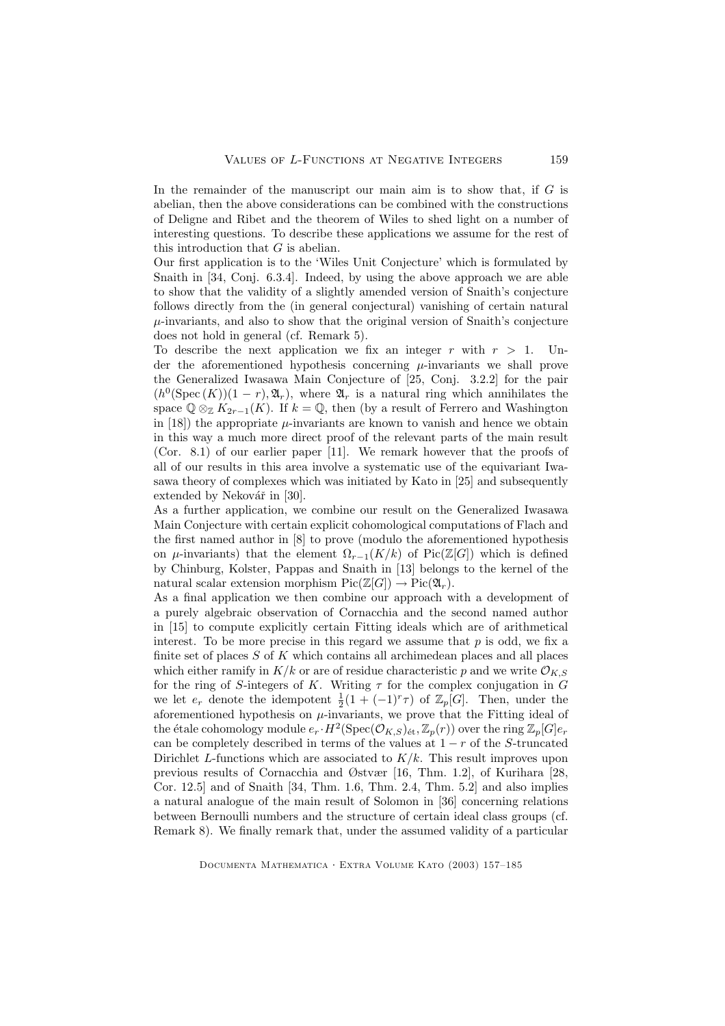In the remainder of the manuscript our main aim is to show that, if  $G$  is abelian, then the above considerations can be combined with the constructions of Deligne and Ribet and the theorem of Wiles to shed light on a number of interesting questions. To describe these applications we assume for the rest of this introduction that  $G$  is abelian.

Our first application is to the 'Wiles Unit Conjecture' which is formulated by Snaith in [34, Conj. 6.3.4]. Indeed, by using the above approach we are able to show that the validity of a slightly amended version of Snaith's conjecture follows directly from the (in general conjectural) vanishing of certain natural  $\mu$ -invariants, and also to show that the original version of Snaith's conjecture does not hold in general (cf. Remark 5).

To describe the next application we fix an integer r with  $r > 1$ . Under the aforementioned hypothesis concerning  $\mu$ -invariants we shall prove the Generalized Iwasawa Main Conjecture of [25, Conj. 3.2.2] for the pair  $(h^0(\text{Spec}(K))(1-r), \mathfrak{A}_r)$ , where  $\mathfrak{A}_r$  is a natural ring which annihilates the space  $\mathbb{Q} \otimes_{\mathbb{Z}} K_{2r-1}(K)$ . If  $k = \mathbb{Q}$ , then (by a result of Ferrero and Washington in [18]) the appropriate  $\mu$ -invariants are known to vanish and hence we obtain in this way a much more direct proof of the relevant parts of the main result (Cor. 8.1) of our earlier paper [11]. We remark however that the proofs of all of our results in this area involve a systematic use of the equivariant Iwasawa theory of complexes which was initiated by Kato in [25] and subsequently extended by Nekovář in [30].

As a further application, we combine our result on the Generalized Iwasawa Main Conjecture with certain explicit cohomological computations of Flach and the first named author in [8] to prove (modulo the aforementioned hypothesis on  $\mu$ -invariants) that the element  $\Omega_{r-1}(K/k)$  of Pic(Z[G]) which is defined by Chinburg, Kolster, Pappas and Snaith in [13] belongs to the kernel of the natural scalar extension morphism  $Pic(\mathbb{Z}[G]) \to Pic(\mathfrak{A}_r)$ .

As a final application we then combine our approach with a development of a purely algebraic observation of Cornacchia and the second named author in [15] to compute explicitly certain Fitting ideals which are of arithmetical interest. To be more precise in this regard we assume that  $p$  is odd, we fix a finite set of places  $S$  of  $K$  which contains all archimedean places and all places which either ramify in  $K/k$  or are of residue characteristic p and we write  $\mathcal{O}_{K,S}$ for the ring of S-integers of K. Writing  $\tau$  for the complex conjugation in G we let  $e_r$  denote the idempotent  $\frac{1}{2}(1+(-1)^r\tau)$  of  $\mathbb{Z}_p[G]$ . Then, under the aforementioned hypothesis on  $\mu$ -invariants, we prove that the Fitting ideal of the étale cohomology module  $e_r \cdot H^2(\text{Spec}(\mathcal{O}_{K,S})_{\text{\'et}}, \mathbb{Z}_p(r))$  over the ring  $\mathbb{Z}_p[G]e_r$ can be completely described in terms of the values at  $1 - r$  of the S-truncated Dirichlet L-functions which are associated to  $K/k$ . This result improves upon previous results of Cornacchia and Østvær [16, Thm. 1.2], of Kurihara [28, Cor. 12.5] and of Snaith [34, Thm. 1.6, Thm. 2.4, Thm. 5.2] and also implies a natural analogue of the main result of Solomon in [36] concerning relations between Bernoulli numbers and the structure of certain ideal class groups (cf. Remark 8). We finally remark that, under the assumed validity of a particular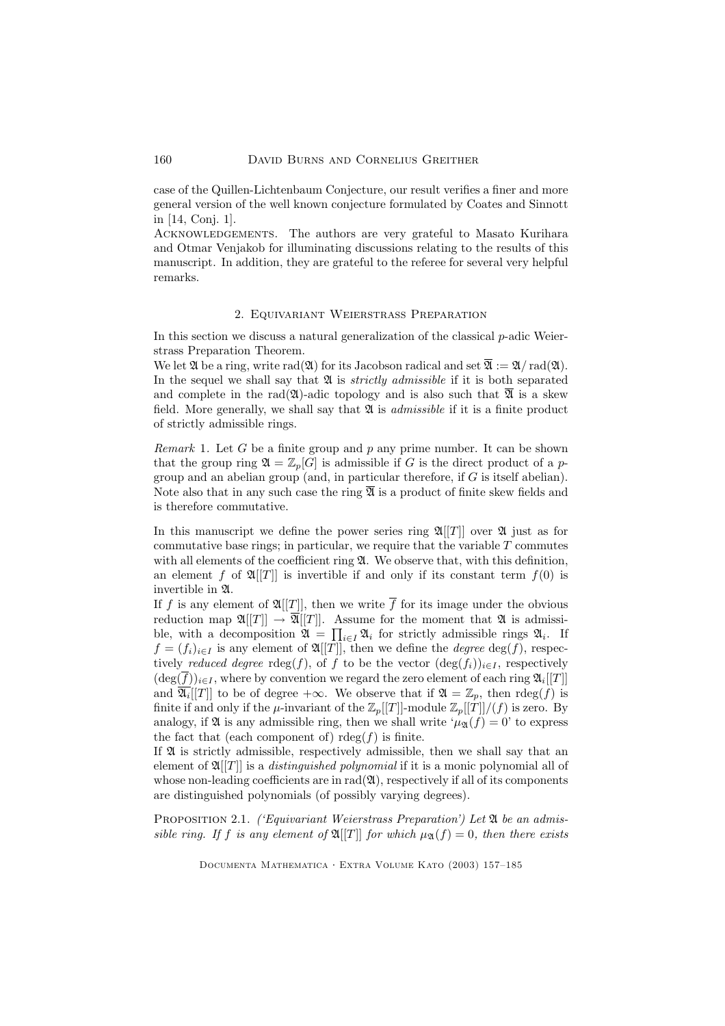case of the Quillen-Lichtenbaum Conjecture, our result verifies a finer and more general version of the well known conjecture formulated by Coates and Sinnott in [14, Conj. 1].

Acknowledgements. The authors are very grateful to Masato Kurihara and Otmar Venjakob for illuminating discussions relating to the results of this manuscript. In addition, they are grateful to the referee for several very helpful remarks.

### 2. Equivariant Weierstrass Preparation

In this section we discuss a natural generalization of the classical p-adic Weierstrass Preparation Theorem.

We let  $\mathfrak{A}$  be a ring, write rad( $\mathfrak{A}$ ) for its Jacobson radical and set  $\overline{\mathfrak{A}} := \mathfrak{A}/\text{rad}(\mathfrak{A})$ . In the sequel we shall say that  $\mathfrak A$  is *strictly admissible* if it is both separated and complete in the rad( $\mathfrak{A}$ )-adic topology and is also such that  $\overline{\mathfrak{A}}$  is a skew field. More generally, we shall say that  $\mathfrak A$  is *admissible* if it is a finite product of strictly admissible rings.

*Remark* 1. Let G be a finite group and p any prime number. It can be shown that the group ring  $\mathfrak{A} = \mathbb{Z}_p[G]$  is admissible if G is the direct product of a pgroup and an abelian group (and, in particular therefore, if G is itself abelian). Note also that in any such case the ring  $\overline{\mathfrak{A}}$  is a product of finite skew fields and is therefore commutative.

In this manuscript we define the power series ring  $\mathfrak{A}[[T]]$  over  $\mathfrak{A}$  just as for commutative base rings; in particular, we require that the variable  $T$  commutes with all elements of the coefficient ring  $\mathfrak{A}$ . We observe that, with this definition, an element f of  $\mathfrak{A}[[T]]$  is invertible if and only if its constant term  $f(0)$  is invertible in A.

If f is any element of  $\mathfrak{A}[[T]]$ , then we write  $\overline{f}$  for its image under the obvious reduction map  $\mathfrak{A}[[T]] \to \overline{\mathfrak{A}}[[T]]$ . Assume for the moment that  $\mathfrak{A}$  is admissible, with a decomposition  $\mathfrak{A} = \prod_{i \in I} \mathfrak{A}_i$  for strictly admissible rings  $\mathfrak{A}_i$ . If  $f = (f_i)_{i \in I}$  is any element of  $\mathfrak{A}[[T]],$  then we define the *degree* deg(f), respectively reduced degree rdeg(f), of f to be the vector  $(\deg(f_i))_{i\in I}$ , respectively  $(\deg(\overline{f}))_{i\in I}$ , where by convention we regard the zero element of each ring  $\mathfrak{A}_i[[T]]$ and  $\overline{\mathfrak{A}_i}[[T]]$  to be of degree  $+\infty$ . We observe that if  $\mathfrak{A} = \mathbb{Z}_p$ , then  $rdeg(f)$  is finite if and only if the  $\mu$ -invariant of the  $\mathbb{Z}_p[[T]]$ -module  $\mathbb{Z}_p[[T]]/(f)$  is zero. By analogy, if  $\mathfrak A$  is any admissible ring, then we shall write  $\mu_{\mathfrak A}(f) = 0$ ' to express the fact that (each component of)  $r \deg(f)$  is finite.

If  $\mathfrak A$  is strictly admissible, respectively admissible, then we shall say that an element of  $\mathfrak{A}[[T]]$  is a *distinguished polynomial* if it is a monic polynomial all of whose non-leading coefficients are in  $rad(\mathfrak{A})$ , respectively if all of its components are distinguished polynomials (of possibly varying degrees).

PROPOSITION 2.1. *('Equivariant Weierstrass Preparation')* Let  $\mathfrak A$  be an admissible ring. If f is any element of  $\mathfrak{A}[[T]]$  for which  $\mu_{\mathfrak{A}}(f) = 0$ , then there exists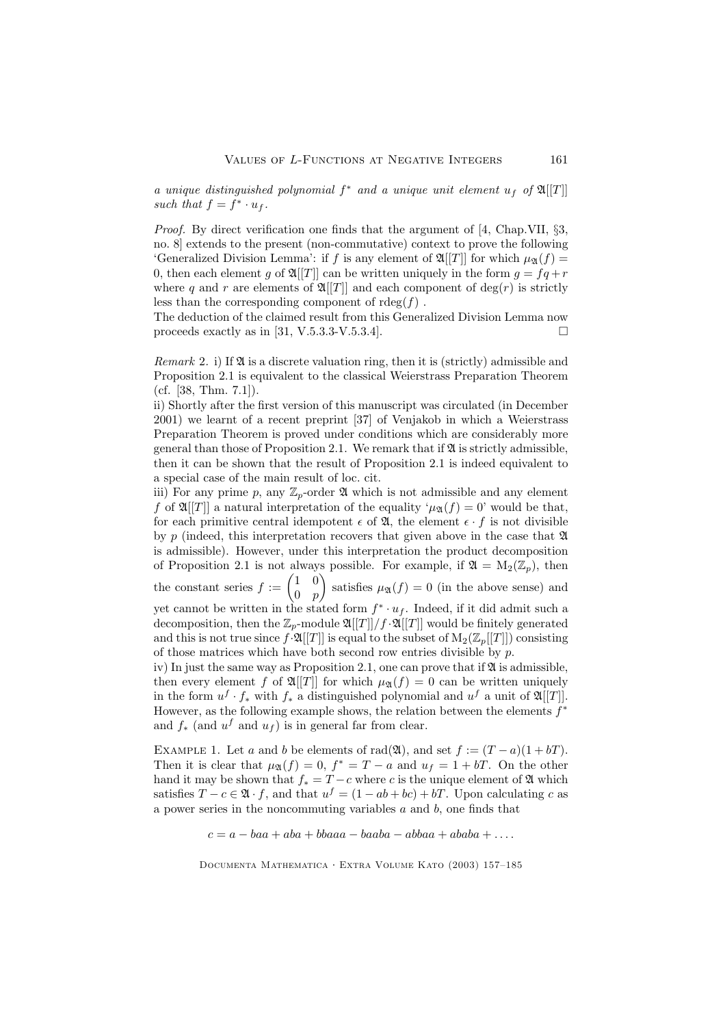a unique distinguished polynomial  $f^*$  and a unique unit element  $u_f$  of  $\mathfrak{A}[[T]]$ such that  $f = f^* \cdot u_f$ .

Proof. By direct verification one finds that the argument of [4, Chap.VII, §3, no. 8] extends to the present (non-commutative) context to prove the following 'Generalized Division Lemma': if f is any element of  $\mathfrak{A}[[T]]$  for which  $\mu_{\mathfrak{A}}(f) =$ 0, then each element g of  $\mathfrak{A}[[T]]$  can be written uniquely in the form  $g = f\dot{q} + r$ where q and r are elements of  $\mathfrak{A}[[T]]$  and each component of deg(r) is strictly less than the corresponding component of  $r \deg(f)$ .

The deduction of the claimed result from this Generalized Division Lemma now proceeds exactly as in [31, V.5.3.3-V.5.3.4].  $\Box$ 

*Remark* 2. i) If  $\mathfrak A$  is a discrete valuation ring, then it is (strictly) admissible and Proposition 2.1 is equivalent to the classical Weierstrass Preparation Theorem (cf. [38, Thm. 7.1]).

ii) Shortly after the first version of this manuscript was circulated (in December 2001) we learnt of a recent preprint [37] of Venjakob in which a Weierstrass Preparation Theorem is proved under conditions which are considerably more general than those of Proposition 2.1. We remark that if  $\mathfrak A$  is strictly admissible, then it can be shown that the result of Proposition 2.1 is indeed equivalent to a special case of the main result of loc. cit.

iii) For any prime p, any  $\mathbb{Z}_p$ -order  $\mathfrak A$  which is not admissible and any element f of  $\mathfrak{A}[[T]]$  a natural interpretation of the equality ' $\mu_{\mathfrak{A}}(f) = 0$ ' would be that, for each primitive central idempotent  $\epsilon$  of  $\mathfrak{A}$ , the element  $\epsilon \cdot f$  is not divisible by p (indeed, this interpretation recovers that given above in the case that  $\mathfrak A$ is admissible). However, under this interpretation the product decomposition of Proposition 2.1 is not always possible. For example, if  $\mathfrak{A} = M_2(\mathbb{Z}_p)$ , then

the constant series  $f := \begin{pmatrix} 1 & 0 \\ 0 & \infty \end{pmatrix}$  $0\quad p$ satisfies  $\mu_{\mathfrak{A}}(f) = 0$  (in the above sense) and

yet cannot be written in the stated form  $f^* \cdot u_f$ . Indeed, if it did admit such a ∗ decomposition, then the  $\mathbb{Z}_p$ -module  $\mathfrak{A}[[T]]/f \cdot \mathfrak{A}[[T]]$  would be finitely generated and this is not true since  $f \cdot \mathfrak{A}[[T]]$  is equal to the subset of  $M_2(\mathbb{Z}_p[[T]])$  consisting of those matrices which have both second row entries divisible by p.

iv) In just the same way as Proposition 2.1, one can prove that if  $\mathfrak A$  is admissible, then every element f of  $\mathfrak{A}[[T]]$  for which  $\mu_{\mathfrak{A}}(f) = 0$  can be written uniquely in the form  $u^f \cdot f_*$  with  $f_*$  a distinguished polynomial and  $u^f$  a unit of  $\mathfrak{A}[[T]]$ . However, as the following example shows, the relation between the elements  $f^*$ and  $f_*$  (and  $u^f$  and  $u_f$ ) is in general far from clear.

EXAMPLE 1. Let a and b be elements of rad( $\mathfrak{A}$ ), and set  $f := (T - a)(1 + bT)$ . Then it is clear that  $\mu_{\mathfrak{A}}(f) = 0, f^* = T - a$  and  $u_f = 1 + bT$ . On the other hand it may be shown that  $f_* = T - c$  where c is the unique element of  $\mathfrak A$  which satisfies  $T - c \in \mathfrak{A} \cdot f$ , and that  $u^f = (1 - ab + bc) + bT$ . Upon calculating c as a power series in the noncommuting variables  $a$  and  $b$ , one finds that

 $c = a - baa + aba + bbaaa - baaba - abbaa + ababa + \dots$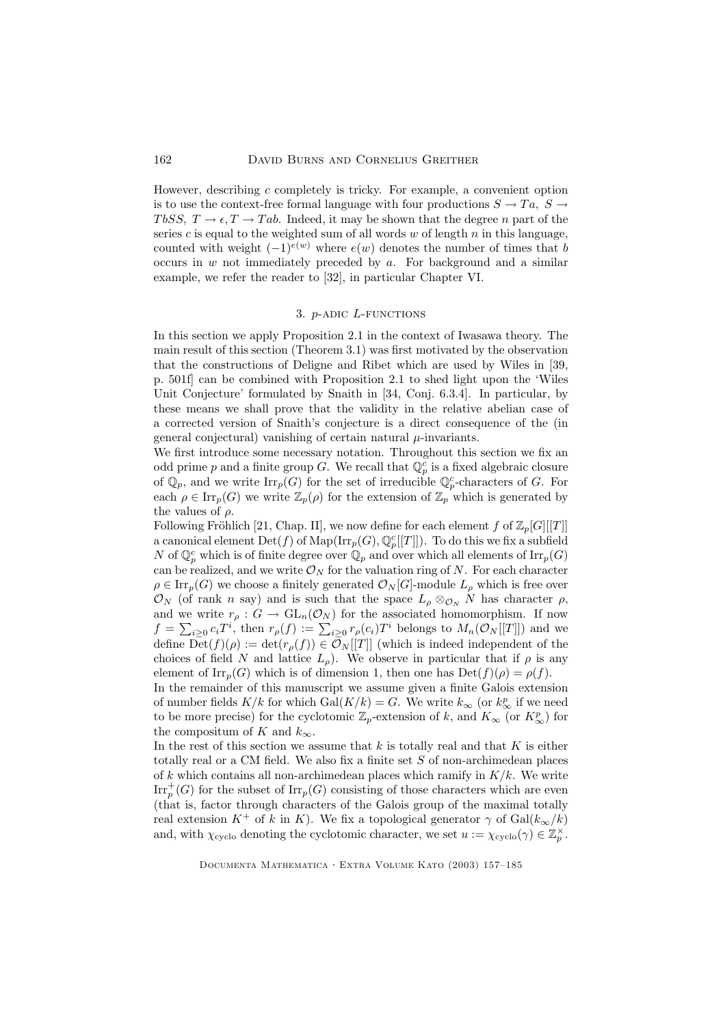However, describing  $c$  completely is tricky. For example, a convenient option is to use the context-free formal language with four productions  $S \to Ta$ ,  $S \to \tau a$ TbSS,  $T \to \epsilon, T \to Tab$ . Indeed, it may be shown that the degree n part of the series  $c$  is equal to the weighted sum of all words  $w$  of length  $n$  in this language, counted with weight  $(-1)^{e(w)}$  where  $e(w)$  denotes the number of times that b occurs in  $w$  not immediately preceded by  $a$ . For background and a similar example, we refer the reader to [32], in particular Chapter VI.

# 3. p-adic L-functions

In this section we apply Proposition 2.1 in the context of Iwasawa theory. The main result of this section (Theorem 3.1) was first motivated by the observation that the constructions of Deligne and Ribet which are used by Wiles in [39, p. 501f] can be combined with Proposition 2.1 to shed light upon the 'Wiles Unit Conjecture' formulated by Snaith in [34, Conj. 6.3.4]. In particular, by these means we shall prove that the validity in the relative abelian case of a corrected version of Snaith's conjecture is a direct consequence of the (in general conjectural) vanishing of certain natural  $\mu$ -invariants.

We first introduce some necessary notation. Throughout this section we fix an odd prime p and a finite group G. We recall that  $\mathbb{Q}_p^c$  is a fixed algebraic closure of  $\mathbb{Q}_p$ , and we write  $\text{Irr}_p(G)$  for the set of irreducible  $\mathbb{Q}_p^c$ -characters of G. For each  $\rho \in \text{Irr}_p(G)$  we write  $\mathbb{Z}_p(\rho)$  for the extension of  $\mathbb{Z}_p$  which is generated by the values of  $\rho$ .

Following Fröhlich [21, Chap. II], we now define for each element f of  $\mathbb{Z}_p[G][[T]]$ a canonical element  $\mathrm{Det}(f)$  of  $\mathrm{Map}(\mathrm{Irr}_p(G),\mathbb{Q}_p^c[[T]])$ . To do this we fix a subfield N of  $\mathbb{Q}_p^c$  which is of finite degree over  $\mathbb{Q}_p$  and over which all elements of  $\text{Irr}_p(G)$ can be realized, and we write  $\mathcal{O}_N$  for the valuation ring of N. For each character  $\rho \in \text{Irr}_p(G)$  we choose a finitely generated  $\mathcal{O}_N[G]$ -module  $L_\rho$  which is free over  $\mathcal{O}_N$  (of rank n say) and is such that the space  $L_\rho \otimes_{\mathcal{O}_N} N$  has character  $\rho$ , and we write  $r_{\rho}: G \to \text{GL}_n(\mathcal{O}_N)$  for the associated homomorphism. If now  $f = \sum_{i\geq 0} c_i T^i$ , then  $r_\rho(f) := \sum_{i\geq 0} r_\rho(c_i) T^i$  belongs to  $M_n(\mathcal{O}_N[[T]])$  and we define  $\overline{\mathrm{Det}}(f)(\rho) := \det(r_{\rho}(f)) \in \overline{\mathcal{O}}_N[[T]]$  (which is indeed independent of the choices of field N and lattice  $L_{\rho}$ ). We observe in particular that if  $\rho$  is any element of  $\text{Irr}_n(G)$  which is of dimension 1, then one has  $\text{Det}(f)(\rho) = \rho(f)$ .

In the remainder of this manuscript we assume given a finite Galois extension of number fields  $K/k$  for which  $Gal(K/k) = G$ . We write  $k_{\infty}$  (or  $k_{\infty}^{p}$  if we need to be more precise) for the cyclotomic  $\mathbb{Z}_p$ -extension of k, and  $K_{\infty}$  (or  $K_{\infty}^p$ ) for the compositum of K and  $k_{\infty}$ .

In the rest of this section we assume that k is totally real and that K is either totally real or a CM field. We also fix a finite set S of non-archimedean places of k which contains all non-archimedean places which ramify in  $K/k$ . We write  $\operatorname{Irr}^+_p(G)$  for the subset of  $\operatorname{Irr}_p(G)$  consisting of those characters which are even (that is, factor through characters of the Galois group of the maximal totally real extension  $K^+$  of k in K). We fix a topological generator  $\gamma$  of  $Gal(k_{\infty}/k)$ and, with  $\chi_{\text{cyclo}}$  denoting the cyclotomic character, we set  $u := \chi_{\text{cyclo}}(\gamma) \in \mathbb{Z}_p^{\times}$ .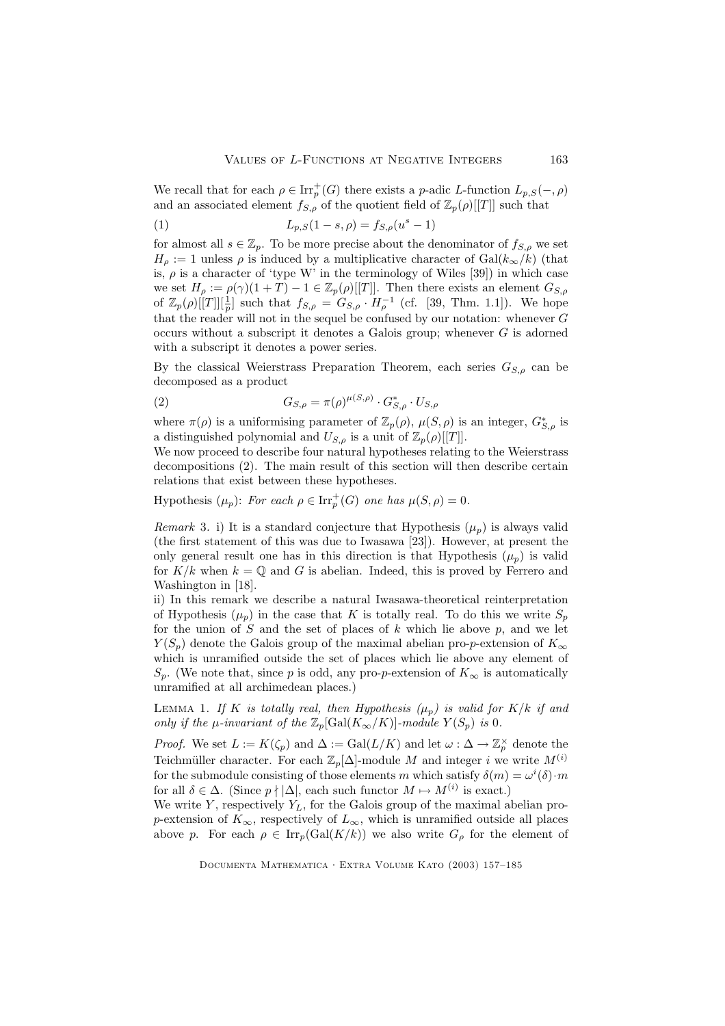We recall that for each  $\rho \in \text{Irr}_p^+(G)$  there exists a p-adic L-function  $L_{p,S}(-, \rho)$ and an associated element  $f_{S,\rho}$  of the quotient field of  $\mathbb{Z}_p(\rho)[[T]]$  such that

(1) 
$$
L_{p,S}(1-s,\rho) = f_{S,\rho}(u^s - 1)
$$

for almost all  $s \in \mathbb{Z}_p$ . To be more precise about the denominator of  $f_{S,\rho}$  we set  $H_{\rho} := 1$  unless  $\rho$  is induced by a multiplicative character of  $Gal(k_{\infty}/k)$  (that is,  $\rho$  is a character of 'type W' in the terminology of Wiles [39]) in which case we set  $H_{\rho} := \rho(\gamma)(1+T) - 1 \in \mathbb{Z}_p(\rho)[[T]]$ . Then there exists an element  $G_{S,\rho}$ of  $\mathbb{Z}_p(\rho)[[T]][\frac{1}{p}]$  such that  $f_{S,\rho} = G_{S,\rho} \cdot H_{\rho}^{-1}$  (cf. [39, Thm. 1.1]). We hope that the reader will not in the sequel be confused by our notation: whenever  $G$ occurs without a subscript it denotes a Galois group; whenever  $G$  is adorned with a subscript it denotes a power series.

By the classical Weierstrass Preparation Theorem, each series  $G_{S,\rho}$  can be decomposed as a product

(2) 
$$
G_{S,\rho} = \pi(\rho)^{\mu(S,\rho)} \cdot G_{S,\rho}^* \cdot U_{S,\rho}
$$

where  $\pi(\rho)$  is a uniformising parameter of  $\mathbb{Z}_p(\rho)$ ,  $\mu(S,\rho)$  is an integer,  $G^*_{S,\rho}$  is a distinguished polynomial and  $U_{S,\rho}$  is a unit of  $\mathbb{Z}_p(\rho)[[T]]$ .

We now proceed to describe four natural hypotheses relating to the Weierstrass decompositions (2). The main result of this section will then describe certain relations that exist between these hypotheses.

Hypothesis  $(\mu_p)$ : For each  $\rho \in \text{Irr}_p^+(G)$  one has  $\mu(S, \rho) = 0$ .

Remark 3. i) It is a standard conjecture that Hypothesis  $(\mu_p)$  is always valid (the first statement of this was due to Iwasawa [23]). However, at present the only general result one has in this direction is that Hypothesis  $(\mu_n)$  is valid for  $K/k$  when  $k = \mathbb{Q}$  and G is abelian. Indeed, this is proved by Ferrero and Washington in [18].

ii) In this remark we describe a natural Iwasawa-theoretical reinterpretation of Hypothesis  $(\mu_n)$  in the case that K is totally real. To do this we write  $S_n$ for the union of  $S$  and the set of places of  $k$  which lie above  $p$ , and we let  $Y(S_p)$  denote the Galois group of the maximal abelian pro-p-extension of  $K_{\infty}$ which is unramified outside the set of places which lie above any element of  $S_p$ . (We note that, since p is odd, any pro-p-extension of  $K_{\infty}$  is automatically unramified at all archimedean places.)

LEMMA 1. If K is totally real, then Hypothesis  $(\mu_p)$  is valid for K/k if and only if the  $\mu$ -invariant of the  $\mathbb{Z}_p[\text{Gal}(K_{\infty}/K)]$ -module  $Y(S_p)$  is 0.

*Proof.* We set  $L := K(\zeta_p)$  and  $\Delta := \text{Gal}(L/K)$  and let  $\omega : \Delta \to \mathbb{Z}_p^{\times}$  denote the Teichmüller character. For each  $\mathbb{Z}_p[\Delta]$ -module M and integer i we write  $M^{(i)}$ for the submodule consisting of those elements m which satisfy  $\delta(m) = \omega^{i}(\delta) \cdot m$ for all  $\delta \in \Delta$ . (Since  $p \nmid |\Delta|$ , each such functor  $M \mapsto M^{(i)}$  is exact.)

We write Y, respectively  $Y_L$ , for the Galois group of the maximal abelian prop-extension of  $K_{\infty}$ , respectively of  $L_{\infty}$ , which is unramified outside all places above p. For each  $\rho \in \text{Irr}_p(\text{Gal}(K/k))$  we also write  $G_\rho$  for the element of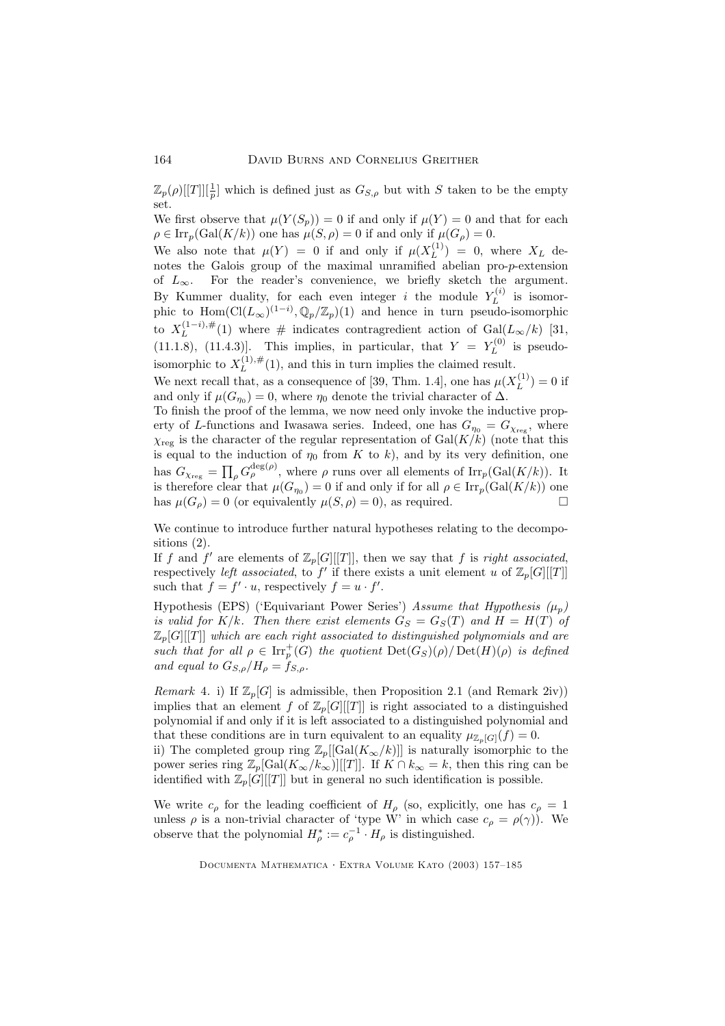$\mathbb{Z}_p(\rho)[[T]][\frac{1}{p}]$  which is defined just as  $G_{S,\rho}$  but with S taken to be the empty set.

We first observe that  $\mu(Y(S_p)) = 0$  if and only if  $\mu(Y) = 0$  and that for each  $\rho \in \text{Irr}_p(\text{Gal}(K/k))$  one has  $\mu(S, \rho) = 0$  if and only if  $\mu(G_\rho) = 0$ .

We also note that  $\mu(Y) = 0$  if and only if  $\mu(X_L^{(1)})$  $L^{(1)}$  = 0, where  $X_L$  denotes the Galois group of the maximal unramified abelian pro-p-extension of  $L_{\infty}$ . For the reader's convenience, we briefly sketch the argument. By Kummer duality, for each even integer i the module  $Y_L^{(i)}$  $L^{(i)}$  is isomorphic to  $\text{Hom}(\text{Cl}(L_{\infty})^{(1-i)}, \mathbb{Q}_p/\mathbb{Z}_p)(1)$  and hence in turn pseudo-isomorphic to  $X_L^{(1-i),\#}$  $\mathcal{L}^{(1-i),\#}_{L}(1)$  where # indicates contragredient action of  $Gal(L_{\infty}/k)$  [31, (11.1.8), (11.4.3)]. This implies, in particular, that  $Y = Y_L^{(0)}$  $L^{(0)}$  is pseudoisomorphic to  $X_L^{(1),\#}$  $L^{(1),#}(1)$ , and this in turn implies the claimed result.

We next recall that, as a consequence of [39, Thm. 1.4], one has  $\mu(X_L^{(1)})$  $L^{(1)}$ ) = 0 if and only if  $\mu(G_{\eta_0}) = 0$ , where  $\eta_0$  denote the trivial character of  $\Delta$ .

To finish the proof of the lemma, we now need only invoke the inductive property of L-functions and Iwasawa series. Indeed, one has  $G_{\eta_0} = G_{\chi_{\text{reg}}}$ , where  $\chi_{\text{reg}}$  is the character of the regular representation of  $\text{Gal}(K/k)$  (note that this is equal to the induction of  $\eta_0$  from K to k), and by its very definition, one has  $G_{\chi_{\text{reg}}} = \prod_{\rho} G_{\rho}^{\deg(\rho)},$  where  $\rho$  runs over all elements of  $\text{Irr}_p(\text{Gal}(K/k)).$  It is therefore clear that  $\mu(G_{\eta_0}) = 0$  if and only if for all  $\rho \in \text{Irr}_p(\text{Gal}(K/k))$  one has  $\mu(G_{\rho}) = 0$  (or equivalently  $\mu(S, \rho) = 0$ ), as required.

We continue to introduce further natural hypotheses relating to the decompositions (2).

If f and f' are elements of  $\mathbb{Z}_p[G][[T]]$ , then we say that f is right associated, respectively *left associated*, to  $f'$  if there exists a unit element u of  $\mathbb{Z}_p[G][[T]]$ such that  $f = f' \cdot u$ , respectively  $f = u \cdot f'$ .

Hypothesis (EPS) ('Equivariant Power Series') Assume that Hypothesis  $(\mu_p)$ is valid for K/k. Then there exist elements  $G_S = G_S(T)$  and  $H = H(T)$  of  $\mathbb{Z}_p[G][[T]]$  which are each right associated to distinguished polynomials and are such that for all  $\rho \in \text{Irr}_p^+(G)$  the quotient  $\text{Det}(G_S)(\rho) / \text{Det}(H)(\rho)$  is defined and equal to  $G_{S,\rho}/H_{\rho} = f_{S,\rho}$ .

Remark 4. i) If  $\mathbb{Z}_p[G]$  is admissible, then Proposition 2.1 (and Remark 2iv)) implies that an element f of  $\mathbb{Z}_p[G][[T]]$  is right associated to a distinguished polynomial if and only if it is left associated to a distinguished polynomial and that these conditions are in turn equivalent to an equality  $\mu_{\mathbb{Z}_p[G]}(f) = 0$ . ii) The completed group ring  $\mathbb{Z}_p[[\text{Gal}(K_{\infty}/k)]]$  is naturally isomorphic to the

power series ring  $\mathbb{Z}_p[\text{Gal}(K_\infty/k_\infty)][T]]$ . If  $K \cap k_\infty = k$ , then this ring can be identified with  $\mathbb{Z}_p[G][[T]]$  but in general no such identification is possible.

We write  $c_{\rho}$  for the leading coefficient of  $H_{\rho}$  (so, explicitly, one has  $c_{\rho} = 1$ unless  $\rho$  is a non-trivial character of 'type W' in which case  $c_{\rho} = \rho(\gamma)$ ). We observe that the polynomial  $H^*_{\rho} := c_{\rho}^{-1} \cdot H_{\rho}$  is distinguished.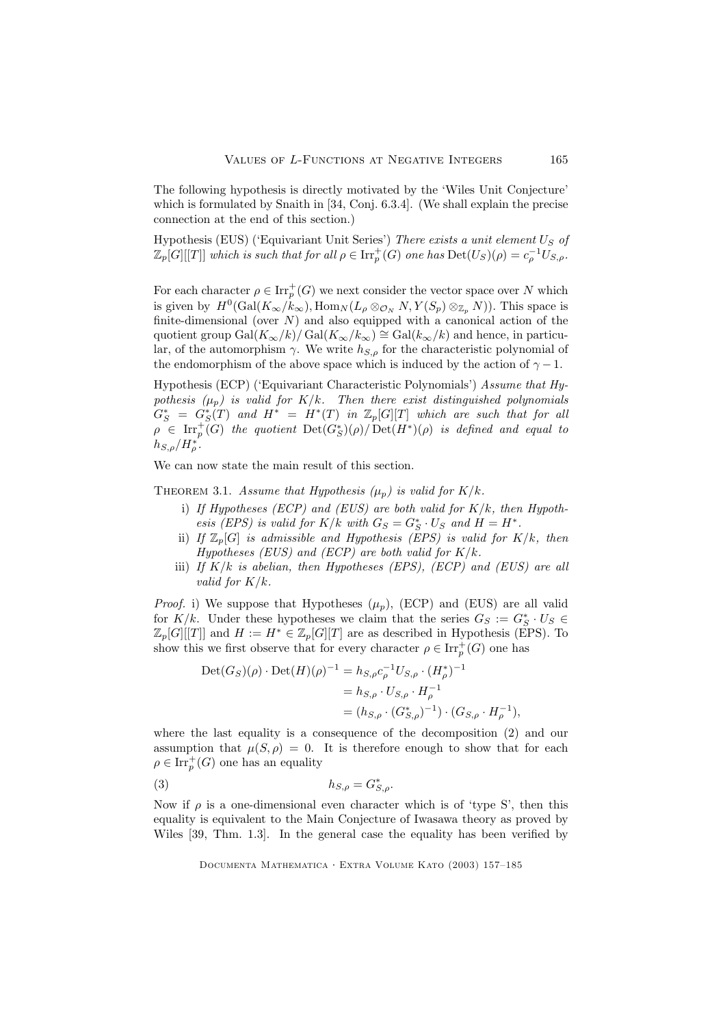The following hypothesis is directly motivated by the 'Wiles Unit Conjecture' which is formulated by Snaith in [34, Conj. 6.3.4]. (We shall explain the precise connection at the end of this section.)

Hypothesis (EUS) ('Equivariant Unit Series') There exists a unit element  $U_S$  of  $\mathbb{Z}_p[G][[T]]$  which is such that for all  $\rho \in \text{Irr}_p^+(G)$  one has  $\text{Det}(U_S)(\rho) = c_\rho^{-1}U_{S,\rho}$ .

For each character  $\rho \in \operatorname{Irr}_p^+(G)$  we next consider the vector space over N which is given by  $H^0(\text{Gal}(K_\infty/k_\infty), \text{Hom}_N(L_\rho \otimes_{\mathcal{O}_N} N, Y(S_p) \otimes_{\mathbb{Z}_p} N))$ . This space is finite-dimensional (over  $N$ ) and also equipped with a canonical action of the quotient group  $Gal(K_{\infty}/k)/ Gal(K_{\infty}/k_{\infty}) \cong Gal(k_{\infty}/k)$  and hence, in particular, of the automorphism  $\gamma$ . We write  $h_{S,\rho}$  for the characteristic polynomial of the endomorphism of the above space which is induced by the action of  $\gamma - 1$ .

Hypothesis (ECP) ('Equivariant Characteristic Polynomials') Assume that Hypothesis  $(\mu_p)$  is valid for K/k. Then there exist distinguished polynomials  $G^*_S = G^*_S(T)$  and  $H^* = H^*(T)$  in  $\mathbb{Z}_p[G][T]$  which are such that for all  $\rho \in \text{Irr}_p^+(G)$  the quotient  $\text{Det}(G_S^*)(\rho) / \text{Det}(H^*)(\rho)$  is defined and equal to  $h_{S,\rho}/H_{\rho}^*$ .

We can now state the main result of this section.

THEOREM 3.1. Assume that Hypothesis  $(\mu_p)$  is valid for  $K/k$ .

- i) If Hypotheses (ECP) and (EUS) are both valid for  $K/k$ , then Hypothesis (EPS) is valid for  $K/k$  with  $G_S = G_S^* \cdot U_S$  and  $H = H^*$ .
- ii) If  $\mathbb{Z}_p[G]$  is admissible and Hypothesis (EPS) is valid for  $K/k$ , then Hypotheses (EUS) and (ECP) are both valid for  $K/k$ .
- iii) If  $K/k$  is abelian, then Hypotheses (EPS), (ECP) and (EUS) are all valid for  $K/k$ .

*Proof.* i) We suppose that Hypotheses  $(\mu_p)$ , (ECP) and (EUS) are all valid for  $K/k$ . Under these hypotheses we claim that the series  $G_S := G_S^* \cdot U_S \in$  $\mathbb{Z}_p[G][[T]]$  and  $H := H^* \in \mathbb{Z}_p[G][T]$  are as described in Hypothesis (EPS). To show this we first observe that for every character  $\rho \in \mathrm{Irr}_p^+(G)$  one has

$$
\begin{aligned} \text{Det}(G_S)(\rho) \cdot \text{Det}(H)(\rho)^{-1} &= h_{S,\rho} c_{\rho}^{-1} U_{S,\rho} \cdot (H_{\rho}^*)^{-1} \\ &= h_{S,\rho} \cdot U_{S,\rho} \cdot H_{\rho}^{-1} \\ &= (h_{S,\rho} \cdot (G_{S,\rho}^*)^{-1}) \cdot (G_{S,\rho} \cdot H_{\rho}^{-1}), \end{aligned}
$$

where the last equality is a consequence of the decomposition (2) and our assumption that  $\mu(S, \rho) = 0$ . It is therefore enough to show that for each  $\rho \in \text{Irr}_p^+(G)$  one has an equality

$$
(3) \t\t\t\t h_{S,\rho} = G_{S,\rho}^*.
$$

Now if  $\rho$  is a one-dimensional even character which is of 'type S', then this equality is equivalent to the Main Conjecture of Iwasawa theory as proved by Wiles [39, Thm. 1.3]. In the general case the equality has been verified by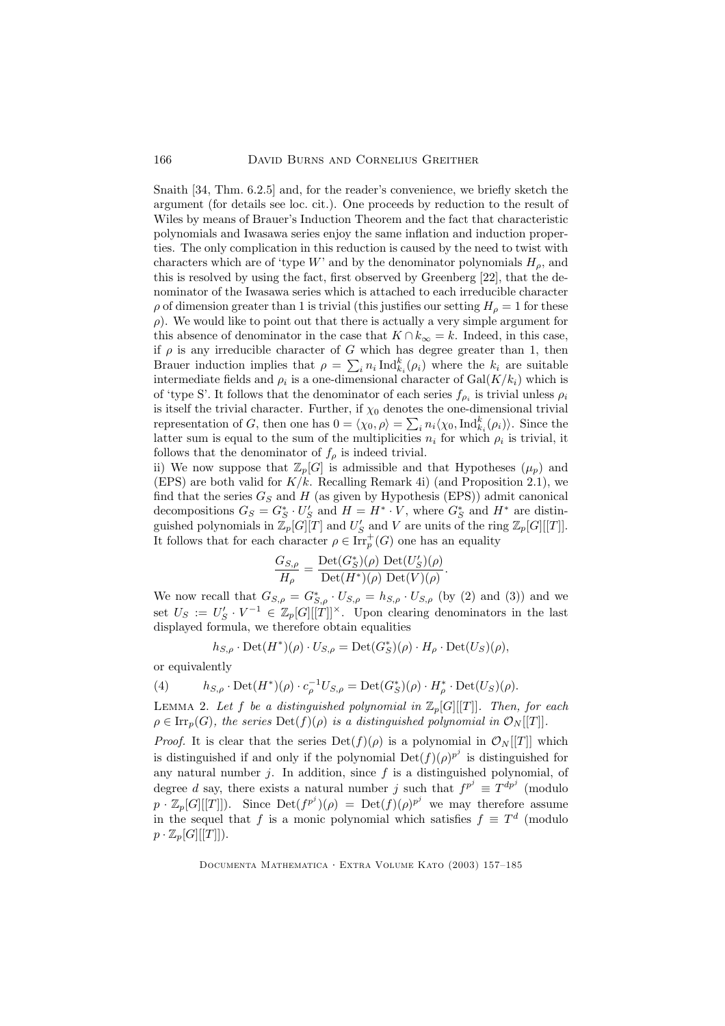Snaith [34, Thm. 6.2.5] and, for the reader's convenience, we briefly sketch the argument (for details see loc. cit.). One proceeds by reduction to the result of Wiles by means of Brauer's Induction Theorem and the fact that characteristic polynomials and Iwasawa series enjoy the same inflation and induction properties. The only complication in this reduction is caused by the need to twist with characters which are of 'type W' and by the denominator polynomials  $H<sub>o</sub>$ , and this is resolved by using the fact, first observed by Greenberg [22], that the denominator of the Iwasawa series which is attached to each irreducible character  $\rho$  of dimension greater than 1 is trivial (this justifies our setting  $H_{\rho} = 1$  for these  $\rho$ ). We would like to point out that there is actually a very simple argument for this absence of denominator in the case that  $K \cap k_{\infty} = k$ . Indeed, in this case, if  $\rho$  is any irreducible character of G which has degree greater than 1, then Brauer induction implies that  $\rho = \sum_i n_i \operatorname{Ind}_{k_i}^k(\rho_i)$  where the  $k_i$  are suitable intermediate fields and  $\rho_i$  is a one-dimensional character of  $Gal(K/k_i)$  which is of 'type S'. It follows that the denominator of each series  $f_{\rho_i}$  is trivial unless  $\rho_i$ is itself the trivial character. Further, if  $\chi_0$  denotes the one-dimensional trivial representation of G, then one has  $0 = \langle \chi_0, \rho \rangle = \sum_i n_i \langle \chi_0, \text{Ind}_{k_i}^k(\rho_i) \rangle$ . Since the latter sum is equal to the sum of the multiplicities  $n_i$  for which  $\rho_i$  is trivial, it follows that the denominator of  $f_{\rho}$  is indeed trivial.

ii) We now suppose that  $\mathbb{Z}_p[G]$  is admissible and that Hypotheses  $(\mu_p)$  and (EPS) are both valid for  $K/k$ . Recalling Remark 4i) (and Proposition 2.1), we find that the series  $G_S$  and H (as given by Hypothesis (EPS)) admit canonical decompositions  $G_S = G_S^* \cdot U_S'$  and  $H = H^* \cdot V$ , where  $G_S^*$  and  $H^*$  are distinguished polynomials in  $\mathbb{Z}_p[G][T]$  and  $U'_S$  and V are units of the ring  $\mathbb{Z}_p[G][[T]]$ . It follows that for each character  $\rho \in \text{Irr}_p^+(G)$  one has an equality

$$
\frac{G_{S,\rho}}{H_{\rho}} = \frac{\mathrm{Det}(G_S^*)(\rho) \ \mathrm{Det}(U_S')(\rho)}{\mathrm{Det}(H^*)(\rho) \ \mathrm{Det}(V)(\rho)}.
$$

We now recall that  $G_{S,\rho} = G_{S,\rho}^* \cdot U_{S,\rho} = h_{S,\rho} \cdot U_{S,\rho}$  (by (2) and (3)) and we set  $U_S := U_S' \cdot V^{-1} \in \mathbb{Z}_p[G][[T]]^{\times}$ . Upon clearing denominators in the last displayed formula, we therefore obtain equalities

$$
h_{S,\rho} \cdot \mathrm{Det}(H^*)(\rho) \cdot U_{S,\rho} = \mathrm{Det}(G_S^*)(\rho) \cdot H_\rho \cdot \mathrm{Det}(U_S)(\rho),
$$

or equivalently

(4) 
$$
h_{S,\rho} \cdot \text{Det}(H^*)(\rho) \cdot c_{\rho}^{-1} U_{S,\rho} = \text{Det}(G_S^*)(\rho) \cdot H_{\rho}^* \cdot \text{Det}(U_S)(\rho).
$$

LEMMA 2. Let f be a distinguished polynomial in  $\mathbb{Z}_p[G][[T]]$ . Then, for each  $\rho \in \text{Irr}_p(G)$ , the series  $\text{Det}(f)(\rho)$  is a distinguished polynomial in  $\mathcal{O}_N[[T]]$ .

*Proof.* It is clear that the series  $Det(f)(\rho)$  is a polynomial in  $\mathcal{O}_N[[T]]$  which is distinguished if and only if the polynomial  $Det(f)(\rho)^{p^j}$  is distinguished for any natural number  $j$ . In addition, since  $f$  is a distinguished polynomial, of degree d say, there exists a natural number j such that  $f^{p^j} \equiv T^{dp^j}$  (modulo  $p \cdot \mathbb{Z}_p[G][[T]]$ ). Since  $\mathrm{Det}(f^{p^j})(\rho) = \mathrm{Det}(f)(\rho)^{p^j}$  we may therefore assume in the sequel that f is a monic polynomial which satisfies  $f \equiv T^d$  (modulo  $p \cdot \mathbb{Z}_p[G][[T]]$ ).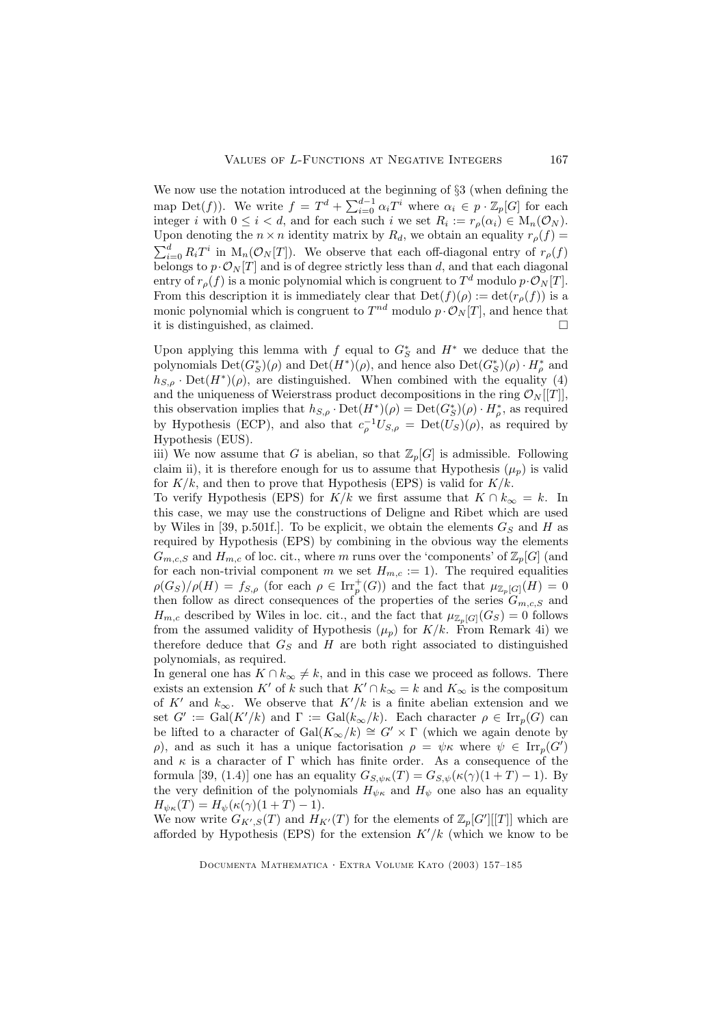We now use the notation introduced at the beginning of §3 (when defining the map Det(f)). We write  $f = T^d + \sum_{i=0}^{d-1} \alpha_i T^i$  where  $\alpha_i \in p \cdot \mathbb{Z}_p[G]$  for each integer *i* with  $0 \le i < d$ , and for each such *i* we set  $R_i := r_\rho(\alpha_i) \in M_n(\mathcal{O}_N)$ . Upon denoting the  $n \times n$  identity matrix by  $R_d$ , we obtain an equality  $r_\rho(f)$  =  $\sum_{i=0}^d R_i T^i$  in  $M_n(\mathcal{O}_N[T])$ . We observe that each off-diagonal entry of  $r_\rho(f)$ belongs to  $p \cdot \mathcal{O}_N[T]$  and is of degree strictly less than d, and that each diagonal entry of  $r_{\rho}(f)$  is a monic polynomial which is congruent to  $T^d$  modulo  $p \cdot \mathcal{O}_N[T]$ . From this description it is immediately clear that  $Det(f)(\rho) := det(r_{\rho}(f))$  is a monic polynomial which is congruent to  $T^{nd}$  modulo  $p \cdot \mathcal{O}_N[T]$ , and hence that it is distinguished, as claimed.  $\Box$ 

Upon applying this lemma with  $f$  equal to  $G_S^*$  and  $H^*$  we deduce that the polynomials  $\mathrm{Det}(G^*_S)(\rho)$  and  $\mathrm{Det}(H^*)(\rho)$ , and hence also  $\mathrm{Det}(G^*_S)(\rho) \cdot H^*_\rho$  and  $h_{S,\rho}$  Det $(H^*)(\rho)$ , are distinguished. When combined with the equality (4) and the uniqueness of Weierstrass product decompositions in the ring  $\mathcal{O}_N[[T]]$ , this observation implies that  $h_{S,\rho} \cdot \text{Det}(H^*)(\rho) = \text{Det}(G^*_S)(\rho) \cdot H^*_\rho$ , as required by Hypothesis (ECP), and also that  $c_{\rho}^{-1}U_{S,\rho} = \text{Det}(U_S)(\rho)$ , as required by Hypothesis (EUS).

iii) We now assume that G is abelian, so that  $\mathbb{Z}_p[G]$  is admissible. Following claim ii), it is therefore enough for us to assume that Hypothesis  $(\mu_p)$  is valid for  $K/k$ , and then to prove that Hypothesis (EPS) is valid for  $K/k$ .

To verify Hypothesis (EPS) for K/k we first assume that  $K \cap k_{\infty} = k$ . In this case, we may use the constructions of Deligne and Ribet which are used by Wiles in [39, p.501f.]. To be explicit, we obtain the elements  $G_S$  and H as required by Hypothesis (EPS) by combining in the obvious way the elements  $G_{m,c,S}$  and  $H_{m,c}$  of loc. cit., where m runs over the 'components' of  $\mathbb{Z}_p[G]$  (and for each non-trivial component m we set  $H_{m,c} := 1$ ). The required equalities  $\rho(G_S)/\rho(H) = f_{S,\rho}$  (for each  $\rho \in \text{Irr}_p^+(G)$ ) and the fact that  $\mu_{\mathbb{Z}_p[G]}(H) = 0$ then follow as direct consequences of the properties of the series  $G_{m,c,S}$  and  $H_{m,c}$  described by Wiles in loc. cit., and the fact that  $\mu_{\mathbb{Z}_p[G]}(G_S) = 0$  follows from the assumed validity of Hypothesis  $(\mu_p)$  for  $K/k$ . From Remark 4i) we therefore deduce that  $G_S$  and  $H$  are both right associated to distinguished polynomials, as required.

In general one has  $K \cap k_{\infty} \neq k$ , and in this case we proceed as follows. There exists an extension K' of k such that  $K' \cap k_{\infty} = k$  and  $K_{\infty}$  is the compositum of K' and  $k_{\infty}$ . We observe that  $K'/k$  is a finite abelian extension and we set  $G' := \text{Gal}(K'/k)$  and  $\Gamma := \text{Gal}(k_{\infty}/k)$ . Each character  $\rho \in \text{Irr}_p(G)$  can be lifted to a character of  $Gal(K_{\infty}/k) \cong G' \times \Gamma$  (which we again denote by ρ), and as such it has a unique factorisation  $ρ = ψκ$  where  $ψ ∈ \text{Irr}_{p}(G')$ and  $\kappa$  is a character of  $\Gamma$  which has finite order. As a consequence of the formula [39, (1.4)] one has an equality  $G_{S,\psi\kappa}(T) = G_{S,\psi}(\kappa(\gamma)(1+T) - 1)$ . By the very definition of the polynomials  $H_{\psi\kappa}$  and  $H_{\psi}$  one also has an equality  $H_{\psi\kappa}(T) = H_{\psi}(\kappa(\gamma)(1+T) - 1).$ 

We now write  $G_{K',S}(T)$  and  $H_{K'}(T)$  for the elements of  $\mathbb{Z}_p[G'][T]$  which are afforded by Hypothesis (EPS) for the extension  $K'/k$  (which we know to be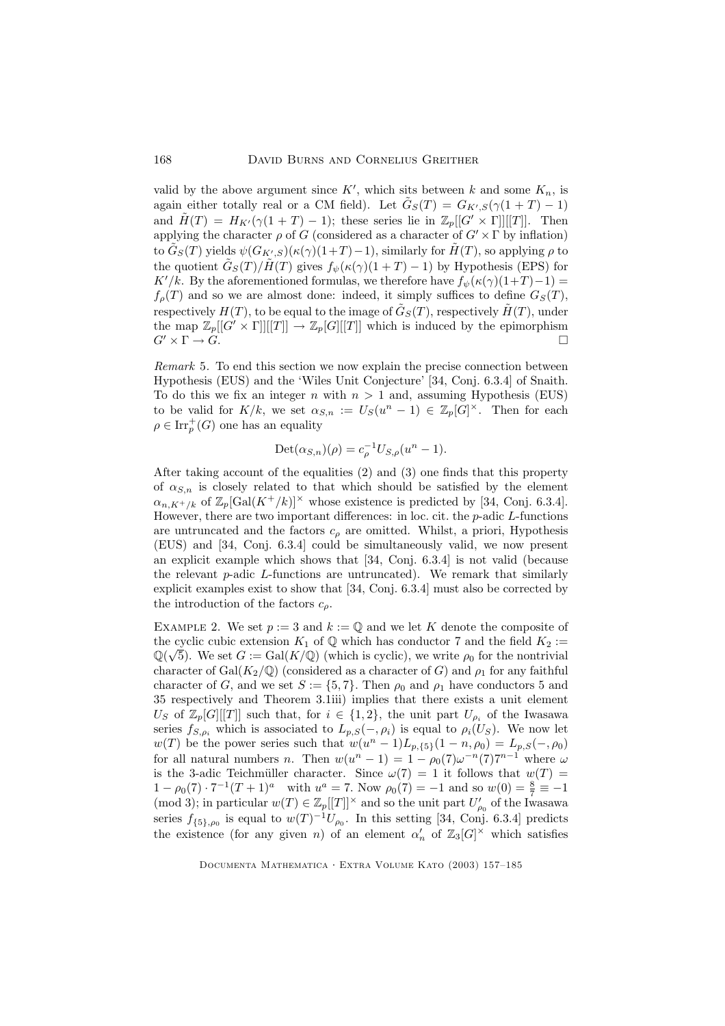valid by the above argument since  $K'$ , which sits between k and some  $K_n$ , is again either totally real or a CM field). Let  $\tilde{G}_S(T) = G_{K',S}(\gamma(1+T) - 1)$ and  $\tilde{H}(T) = H_{K'}(\gamma(1+T) - 1);$  these series lie in  $\mathbb{Z}_p[[G' \times \Gamma]][[T]].$  Then applying the character  $\rho$  of G (considered as a character of  $G' \times \Gamma$  by inflation) to  $\tilde{G}_S(T)$  yields  $\psi(G_{K'_s,S})(\kappa(\gamma)(1+T)-1)$ , similarly for  $\tilde{H}(T)$ , so applying  $\rho$  to the quotient  $\tilde{G}_S(T)/\tilde{H}(T)$  gives  $f_{\psi}(\kappa(\gamma)(1+T)-1)$  by Hypothesis (EPS) for K'/k. By the aforementioned formulas, we therefore have  $f_{\psi}(\kappa(\gamma)(1+T)-1) =$  $f_{\rho}(T)$  and so we are almost done: indeed, it simply suffices to define  $G_{S}(T)$ , respectively  $H(T)$ , to be equal to the image of  $\tilde{G}_S(T)$ , respectively  $\tilde{H}(T)$ , under the map  $\mathbb{Z}_p[[G' \times \Gamma]][[T]] \to \mathbb{Z}_p[G][[T]]$  which is induced by the epimorphism  $G' \times \Gamma \to G$ .  $G' \times \Gamma \to \widetilde{G}$ .

Remark 5. To end this section we now explain the precise connection between Hypothesis (EUS) and the 'Wiles Unit Conjecture' [34, Conj. 6.3.4] of Snaith. To do this we fix an integer n with  $n > 1$  and, assuming Hypothesis (EUS) to be valid for  $K/k$ , we set  $\alpha_{S,n} := U_S(u^n - 1) \in \mathbb{Z}_p[G]^\times$ . Then for each  $\rho \in \text{Irr}_p^+(G)$  one has an equality

$$
Det(\alpha_{S,n})(\rho) = c_{\rho}^{-1} U_{S,\rho}(u^n - 1).
$$

After taking account of the equalities (2) and (3) one finds that this property of  $\alpha_{S,n}$  is closely related to that which should be satisfied by the element  $\alpha_{n,K^{+}/k}$  of  $\mathbb{Z}_p[\text{Gal}(K^+/k)]^{\times}$  whose existence is predicted by [34, Conj. 6.3.4]. However, there are two important differences: in loc. cit. the  $p$ -adic  $L$ -functions are untruncated and the factors  $c_{\rho}$  are omitted. Whilst, a priori, Hypothesis (EUS) and [34, Conj. 6.3.4] could be simultaneously valid, we now present an explicit example which shows that [34, Conj. 6.3.4] is not valid (because the relevant  $p$ -adic  $L$ -functions are untruncated). We remark that similarly explicit examples exist to show that [34, Conj. 6.3.4] must also be corrected by the introduction of the factors  $c_{\rho}$ .

EXAMPLE 2. We set  $p := 3$  and  $k := \mathbb{Q}$  and we let K denote the composite of the cyclic cubic extension  $K_1$  of  $\mathbb Q$  which has conductor 7 and the field  $K_2 :=$  $\mathbb{Q}(\sqrt{5})$ . We set  $G := \text{Gal}(K/\mathbb{Q})$  (which is cyclic), we write  $\rho_0$  for the nontrivial character of  $Gal(K_2/\mathbb{Q})$  (considered as a character of G) and  $\rho_1$  for any faithful character of G, and we set  $S := \{5, 7\}$ . Then  $\rho_0$  and  $\rho_1$  have conductors 5 and 35 respectively and Theorem 3.1iii) implies that there exists a unit element  $U_S$  of  $\mathbb{Z}_p[G][[T]]$  such that, for  $i \in \{1,2\}$ , the unit part  $U_{\rho_i}$  of the Iwasawa series  $f_{S,\rho_i}$  which is associated to  $L_{p,S}(-, \rho_i)$  is equal to  $\rho_i(U_S)$ . We now let  $w(T)$  be the power series such that  $w(u^{n} - 1)L_{p,\{5\}}(1 - n, \rho_0) = L_{p,S}(-, \rho_0)$ for all natural numbers *n*. Then  $w(u^n - 1) = 1 - \rho_0(7)\omega^{-n}(7)7^{n-1}$  where  $\omega$ is the 3-adic Teichmüller character. Since  $\omega(7) = 1$  it follows that  $w(T) =$  $1 - \rho_0(7) \cdot 7^{-1}(T+1)^a$  with  $u^a = 7$ . Now  $\rho_0(7) = -1$  and so  $w(0) = \frac{8}{7} \equiv -1$ (mod 3); in particular  $w(T) \in \mathbb{Z}_p[[T]]^{\times}$  and so the unit part  $U'_{\rho_0}$  of the Iwasawa series  $f_{\{5\},\rho_0}$  is equal to  $w(T)^{-1}U_{\rho_0}$ . In this setting [34, Conj. 6.3.4] predicts the existence (for any given *n*) of an element  $\alpha'_n$  of  $\mathbb{Z}_3[G]^\times$  which satisfies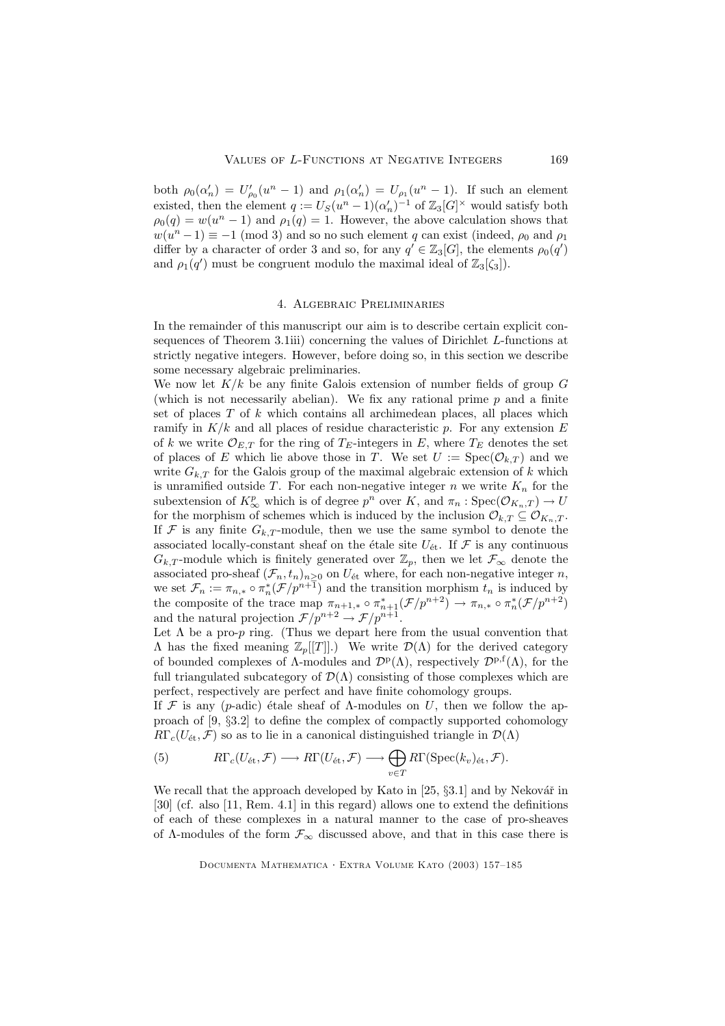both  $\rho_0(\alpha'_n) = U'_{\rho_0}(u^n - 1)$  and  $\rho_1(\alpha'_n) = U_{\rho_1}(u^n - 1)$ . If such an element existed, then the element  $q := U_S(u^n - 1)(\alpha'_n)^{-1}$  of  $\mathbb{Z}_3[G]^\times$  would satisfy both  $\rho_0(q) = w(u^n - 1)$  and  $\rho_1(q) = 1$ . However, the above calculation shows that  $w(u^{n}-1) \equiv -1 \pmod{3}$  and so no such element q can exist (indeed,  $\rho_0$  and  $\rho_1$ ) differ by a character of order 3 and so, for any  $q' \in \mathbb{Z}_3[G]$ , the elements  $\rho_0(q')$ and  $\rho_1(q')$  must be congruent modulo the maximal ideal of  $\mathbb{Z}_3[\zeta_3]$ .

#### 4. Algebraic Preliminaries

In the remainder of this manuscript our aim is to describe certain explicit consequences of Theorem 3.1iii) concerning the values of Dirichlet L-functions at strictly negative integers. However, before doing so, in this section we describe some necessary algebraic preliminaries.

We now let  $K/k$  be any finite Galois extension of number fields of group  $G$ (which is not necessarily abelian). We fix any rational prime  $p$  and a finite set of places  $T$  of  $k$  which contains all archimedean places, all places which ramify in  $K/k$  and all places of residue characteristic p. For any extension E of k we write  $\mathcal{O}_{E,T}$  for the ring of  $T_E$ -integers in E, where  $T_E$  denotes the set of places of E which lie above those in T. We set  $U := \text{Spec}(\mathcal{O}_{k,T})$  and we write  $G_{k,T}$  for the Galois group of the maximal algebraic extension of k which is unramified outside T. For each non-negative integer n we write  $K_n$  for the subextension of  $K^p_{\infty}$  which is of degree  $p^n$  over K, and  $\pi_n : \text{Spec}(\mathcal{O}_{K_n,T}) \to U$ for the morphism of schemes which is induced by the inclusion  $\mathcal{O}_{k,T} \subseteq \mathcal{O}_{K_n,T}$ . If  $\mathcal F$  is any finite  $G_{k,T}$ -module, then we use the same symbol to denote the associated locally-constant sheaf on the étale site  $U_{\text{\'et}}$ . If  $\mathcal F$  is any continuous  $G_{k,T}$ -module which is finitely generated over  $\mathbb{Z}_p$ , then we let  $\mathcal{F}_{\infty}$  denote the associated pro-sheaf  $(\mathcal{F}_n, t_n)_{n \geq 0}$  on  $U_{\text{\'et}}$  where, for each non-negative integer n, we set  $\mathcal{F}_n := \pi_{n,*} \circ \pi_n^*(\mathcal{F}/p^{n+1})$  and the transition morphism  $t_n$  is induced by the composite of the trace map  $\pi_{n+1,*} \circ \pi_{n+1}^* (\mathcal{F}/p^{n+2}) \to \pi_{n,*} \circ \pi_n^* (\mathcal{F}/p^{n+2})$ and the natural projection  $\mathcal{F}/p^{n+2} \to \mathcal{F}/p^{n+1}$ .

Let  $\Lambda$  be a pro-p ring. (Thus we depart here from the usual convention that  $Λ$  has the fixed meaning  $\mathbb{Z}_p[[T]]$ .) We write  $\mathcal{D}(Λ)$  for the derived category of bounded complexes of  $\Lambda$ -modules and  $\mathcal{D}^{\mathbf{p}}(\Lambda)$ , respectively  $\mathcal{D}^{\mathbf{p},\mathbf{f}}(\Lambda)$ , for the full triangulated subcategory of  $\mathcal{D}(\Lambda)$  consisting of those complexes which are perfect, respectively are perfect and have finite cohomology groups.

If F is any (p-adic) étale sheaf of  $\Lambda$ -modules on U, then we follow the approach of [9, §3.2] to define the complex of compactly supported cohomology  $R\Gamma_c(U_{\text{\'et}},\mathcal{F})$  so as to lie in a canonical distinguished triangle in  $\mathcal{D}(\Lambda)$ 

(5) 
$$
R\Gamma_c(U_{\text{\'et}},\mathcal{F})\longrightarrow R\Gamma(U_{\text{\'et}},\mathcal{F})\longrightarrow \bigoplus_{v\in T}R\Gamma(\operatorname{Spec}(k_v)_{\text{\'et}},\mathcal{F}).
$$

We recall that the approach developed by Kato in  $[25, §3.1]$  and by Nekovář in [30] (cf. also [11, Rem. 4.1] in this regard) allows one to extend the definitions of each of these complexes in a natural manner to the case of pro-sheaves of  $\Lambda$ -modules of the form  $\mathcal{F}_{\infty}$  discussed above, and that in this case there is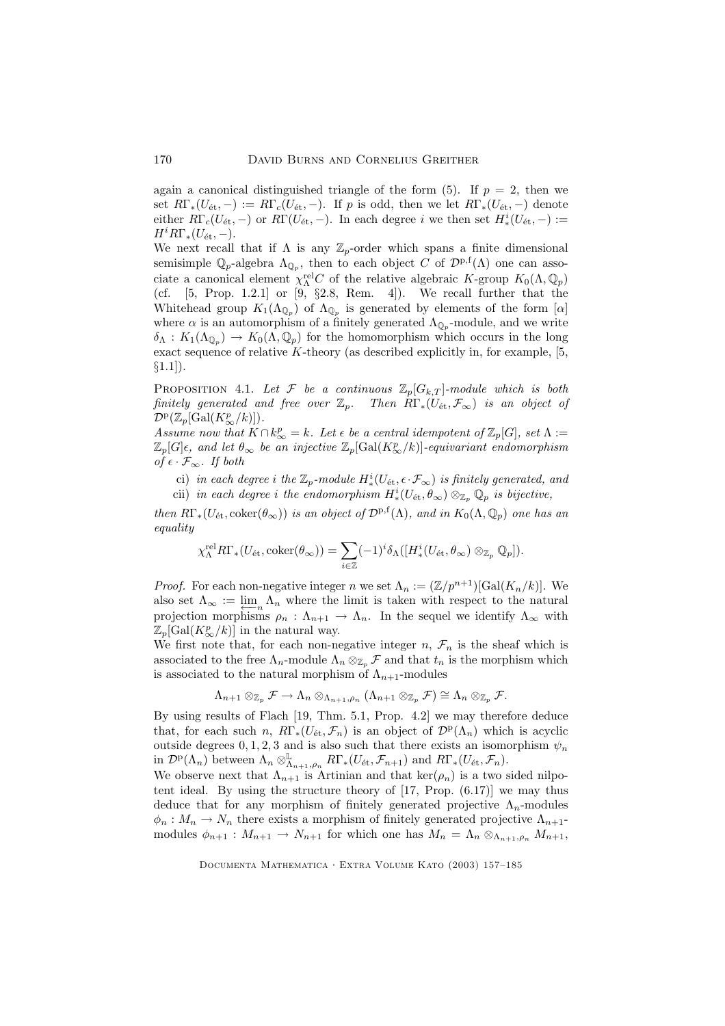again a canonical distinguished triangle of the form  $(5)$ . If  $p = 2$ , then we set  $R\Gamma_*(U_{\text{\'et}}, -) := R\Gamma_c(U_{\text{\'et}}, -)$ . If p is odd, then we let  $R\Gamma_*(U_{\text{\'et}}, -)$  denote either  $R\Gamma_c(U_{\text{\'et}},-)$  or  $R\Gamma(U_{\text{\'et}},-)$ . In each degree i we then set  $H^i_*(U_{\text{\'et}},-) :=$  $H^i R\Gamma_*(U_{\text{\'et}}, -).$ 

We next recall that if  $\Lambda$  is any  $\mathbb{Z}_p$ -order which spans a finite dimensional semisimple  $\mathbb{Q}_p$ -algebra  $\Lambda_{\mathbb{Q}_p}$ , then to each object C of  $\mathcal{D}^{p,f}(\Lambda)$  one can associate a canonical element  $\chi_{\Lambda}^{\text{rel}}C$  of the relative algebraic K-group  $K_0(\Lambda, \mathbb{Q}_p)$ (cf. [5, Prop. 1.2.1] or [9, §2.8, Rem. 4]). We recall further that the Whitehead group  $K_1(\Lambda_{\mathbb{Q}_p})$  of  $\Lambda_{\mathbb{Q}_p}$  is generated by elements of the form  $[\alpha]$ where  $\alpha$  is an automorphism of a finitely generated  $\Lambda_{\mathbb{Q}_p}$ -module, and we write  $\delta_{\Lambda}: K_1(\Lambda_{\mathbb{Q}_p}) \to K_0(\Lambda, \mathbb{Q}_p)$  for the homomorphism which occurs in the long exact sequence of relative  $K$ -theory (as described explicitly in, for example, [5,  $§1.1$ ]).

PROPOSITION 4.1. Let F be a continuous  $\mathbb{Z}_p[G_{k,T}]$ -module which is both finitely generated and free over  $\mathbb{Z}_p$ . Then  $R\Gamma_*(U_{\text{\'et}}, \mathcal{F}_{\infty})$  is an object of  $\mathcal{D}^{\mathrm{p}}(\mathbb{Z}_p[\mathrm{Gal}(K^p_\infty/k)]).$ 

Assume now that  $K \cap k^p_\infty = k$ . Let  $\epsilon$  be a central idempotent of  $\mathbb{Z}_p[G]$ , set  $\Lambda :=$  $\mathbb{Z}_p[G]$  $\epsilon$ , and let  $\theta_{\infty}$  be an injective  $\mathbb{Z}_p[\mathrm{Gal}(K^p_\infty/k)]$ -equivariant endomorphism of  $\epsilon$  ⋅  $\mathcal{F}_{\infty}$ . If both

ci) in each degree i the  $\mathbb{Z}_p$ -module  $H^i_*(U_{\text{\'et}}, \epsilon\cdot\mathcal{F}_\infty)$  is finitely generated, and cii) in each degree i the endomorphism  $H^i_*(U_{\text{\'et}}, \theta_\infty) \otimes_{\mathbb{Z}_p} \mathbb{Q}_p$  is bijective,

then  $R\Gamma_*(U_{\text{\'et}}, \text{coker}(\theta_\infty))$  is an object of  $\mathcal{D}^{\text{p},f}(\Lambda)$ , and in  $K_0(\Lambda, \mathbb{Q}_p)$  one has an equality

$$
\chi^{\textup{rel}}_{\Lambda} R\Gamma_*(U_{\textup{\'et}}, \textup{coker}(\theta_\infty)) = \sum_{i \in \mathbb{Z}} (-1)^i \delta_{\Lambda}([H^i_*(U_{\textup{\'et}}, \theta_\infty) \otimes_{\mathbb{Z}_p} \mathbb{Q}_p]).
$$

*Proof.* For each non-negative integer n we set  $\Lambda_n := (\mathbb{Z}/p^{n+1})[\text{Gal}(K_n/k)]$ . We also set  $\Lambda_{\infty} := \lim_{n \to \infty} \Lambda_n$  where the limit is taken with respect to the natural<br>projection morphisms  $\rho : \Lambda_{\text{old}} \to \Lambda_{\text{old}}$  in the sequel we identify  $\Lambda_{\text{old}}$  with projection morphisms  $\rho_n : \Lambda_{n+1} \to \Lambda_n$ . In the sequel we identify  $\Lambda_\infty$  with  $\mathbb{Z}_p[\text{Gal}(K_{\infty}^p/k)]$  in the natural way.

We first note that, for each non-negative integer  $n, \mathcal{F}_n$  is the sheaf which is associated to the free  $\Lambda_n$ -module  $\Lambda_n \otimes_{\mathbb{Z}_n} \mathcal{F}$  and that  $t_n$  is the morphism which is associated to the natural morphism of  $\Lambda_{n+1}$ -modules

$$
\Lambda_{n+1}\otimes_{\mathbb{Z}_p}\mathcal{F}\to\Lambda_n\otimes_{\Lambda_{n+1},\rho_n}(\Lambda_{n+1}\otimes_{\mathbb{Z}_p}\mathcal{F})\cong\Lambda_n\otimes_{\mathbb{Z}_p}\mathcal{F}.
$$

By using results of Flach [19, Thm. 5.1, Prop. 4.2] we may therefore deduce that, for each such n,  $R\Gamma_*(U_{\text{\'et}}, \mathcal{F}_n)$  is an object of  $\mathcal{D}^{\text{p}}(\Lambda_n)$  which is acyclic outside degrees  $0, 1, 2, 3$  and is also such that there exists an isomorphism  $\psi_n$ in  $\mathcal{D}^{\mathbf{p}}(\Lambda_n)$  between  $\Lambda_n \otimes_{\Lambda_{n+1},\rho_n}^{\mathbb{L}} R\Gamma_*(U_{\text{\'et}}, \mathcal{F}_{n+1})$  and  $R\Gamma_*(U_{\text{\'et}}, \mathcal{F}_n)$ .

We observe next that  $\Lambda_{n+1}$  is Artinian and that  $\ker(\rho_n)$  is a two sided nilpotent ideal. By using the structure theory of [17, Prop. (6.17)] we may thus deduce that for any morphism of finitely generated projective  $\Lambda_n$ -modules  $\phi_n : M_n \to N_n$  there exists a morphism of finitely generated projective  $\Lambda_{n+1}$ modules  $\phi_{n+1}: M_{n+1} \to N_{n+1}$  for which one has  $M_n = \Lambda_n \otimes_{\Lambda_{n+1}, \rho_n} M_{n+1}$ ,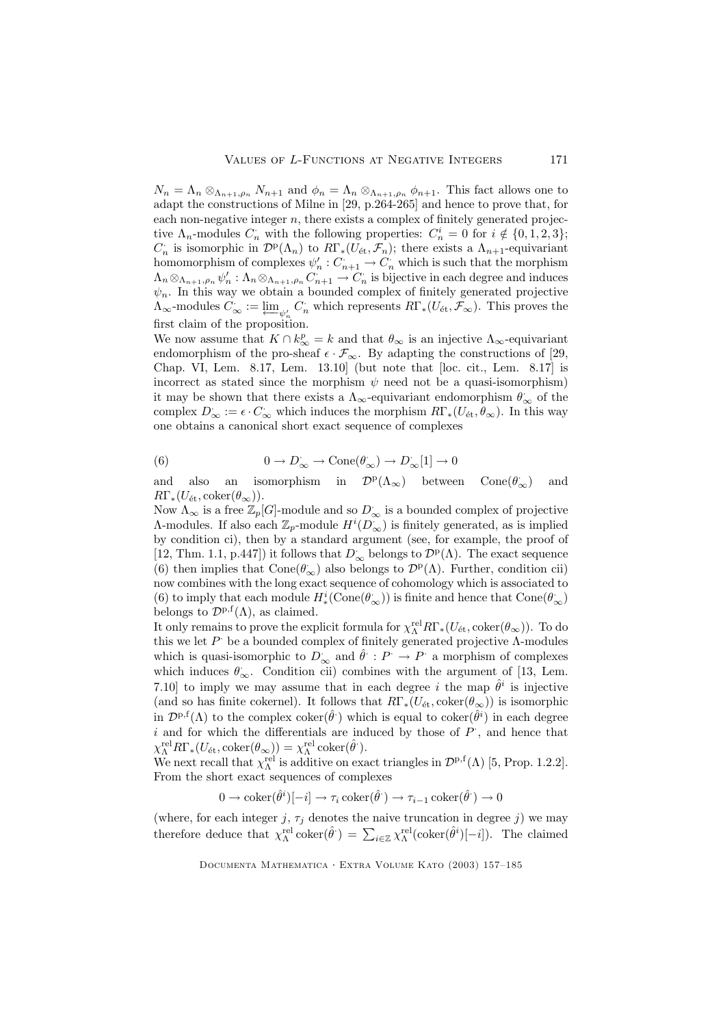$N_n = \Lambda_n \otimes_{\Lambda_{n+1},\rho_n} N_{n+1}$  and  $\phi_n = \Lambda_n \otimes_{\Lambda_{n+1},\rho_n} \phi_{n+1}$ . This fact allows one to adapt the constructions of Milne in [29, p.264-265] and hence to prove that, for each non-negative integer  $n$ , there exists a complex of finitely generated projective  $\Lambda_n$ -modules  $C_n$  with the following properties:  $C_n^i = 0$  for  $i \notin \{0, 1, 2, 3\};$  $C_n$  is isomorphic in  $\mathcal{D}^{\rm p}(\Lambda_n)$  to  $R\Gamma_*(U_{\text{\'et}}, \mathcal{F}_n)$ ; there exists a  $\Lambda_{n+1}$ -equivariant homomorphism of complexes  $\psi'_n: C_{n+1} \to C_n$  which is such that the morphism  $\Lambda_n \otimes_{\Lambda_{n+1},\rho_n} \psi'_n : \Lambda_n \otimes_{\Lambda_{n+1},\rho_n} C_{n+1} \to C_n$  is bijective in each degree and induces  $\psi_n$ . In this way we obtain a bounded complex of finitely generated projective  $\Lambda_{\infty}$ -modules  $C_{\infty} := \varprojlim_{\psi'_n} C_n$  which represents  $R\Gamma_*(U_{\text{\'et}}, \mathcal{F}_{\infty})$ . This proves the first claim of the proposition.

We now assume that  $K \cap k_{\infty}^p = k$  and that  $\theta_{\infty}$  is an injective  $\Lambda_{\infty}$ -equivariant endomorphism of the pro-sheaf  $\epsilon \cdot \mathcal{F}_{\infty}$ . By adapting the constructions of [29, Chap. VI, Lem. 8.17, Lem. 13.10] (but note that [loc. cit., Lem. 8.17] is incorrect as stated since the morphism  $\psi$  need not be a quasi-isomorphism) it may be shown that there exists a  $\Lambda_\infty$  -equivariant endomorphism  $\theta_\infty$  of the complex  $D_{\infty} := \epsilon \cdot C_{\infty}$  which induces the morphism  $R\Gamma_*(U_{\text{\'et}}, \theta_{\infty})$ . In this way one obtains a canonical short exact sequence of complexes

(6) 
$$
0 \to D_{\infty} \to \text{Cone}(\theta_{\infty}) \to D_{\infty}^*[1] \to 0
$$

and also an isomorphism in  $\mathcal{D}^{\rm p}(\Lambda_\infty)$  between  $Cone(\theta_{\infty})$ <sup>∞</sup>) and  $R\Gamma_*(U_{\text{\'et}}, \text{coker}(\theta_\infty)).$ 

Now  $\Lambda_{\infty}$  is a free  $\mathbb{Z}_p[G]$ -module and so  $D_{\infty}$  is a bounded complex of projective A-modules. If also each  $\mathbb{Z}_p$ -module  $H^i(D_\infty)$  is finitely generated, as is implied by condition ci), then by a standard argument (see, for example, the proof of [12, Thm. 1.1, p.447]) it follows that  $D_{\infty}$  belongs to  $\mathcal{D}^{\mathbf{p}}(\Lambda)$ . The exact sequence (6) then implies that  $Cone(\theta_{\infty})$  also belongs to  $\mathcal{D}^p(\Lambda)$ . Further, condition cii) now combines with the long exact sequence of cohomology which is associated to (6) to imply that each module  $H^i_*(\mathrm{Cone}(\theta_\infty))$  is finite and hence that  $\mathrm{Cone}(\theta_\infty)$ belongs to  $\mathcal{D}^{p,f}(\Lambda)$ , as claimed.

It only remains to prove the explicit formula for  $\chi_{\Lambda}^{\text{rel}} R \Gamma_*(U_{\text{\'et}}, \text{coker}(\theta_{\infty}))$ . To do this we let  $P$  be a bounded complex of finitely generated projective  $\Lambda$ -modules which is quasi-isomorphic to  $D_{\infty}$  and  $\hat{\theta}: P \to P$  a morphism of complexes which induces  $\theta_{\infty}$ . Condition cii) combines with the argument of [13, Lem. 7.10] to imply we may assume that in each degree i the map  $\hat{\theta}^i$  is injective (and so has finite cokernel). It follows that  $R\Gamma_*(U_{\text{\'et}}, \text{coker}(\theta_\infty))$  is isomorphic in  $\mathcal{D}^{p,f}(\Lambda)$  to the complex coker $(\hat{\theta})$  which is equal to coker $(\hat{\theta}^i)$  in each degree  $i$  and for which the differentials are induced by those of  $P$ , and hence that  $\chi_{\Lambda}^{\text{rel}} R \Gamma_*(U_{\text{\'et}}, \text{coker}(\theta_{\infty})) = \chi_{\Lambda}^{\text{rel}} \, \text{coker}(\hat{\theta}^{\cdot}).$ 

We next recall that  $\chi_{\Lambda}^{\text{rel}}$  is additive on exact triangles in  $\mathcal{D}^{\text{p,f}}(\Lambda)$  [5, Prop. 1.2.2]. From the short exact sequences of complexes

$$
0 \to \mathrm{coker}(\hat{\theta}^i)[-i] \to \tau_i \,\mathrm{coker}(\hat{\theta}^i) \to \tau_{i-1} \,\mathrm{coker}(\hat{\theta}^i) \to 0
$$

(where, for each integer j,  $\tau_j$  denotes the naive truncation in degree j) we may therefore deduce that  $\chi_{\Lambda}^{\text{rel}}$  coker $(\hat{\theta}^{\cdot}) = \sum_{i \in \mathbb{Z}} \chi_{\Lambda}^{\text{rel}}$  (coker $(\hat{\theta}^i)[-i]$ ). The claimed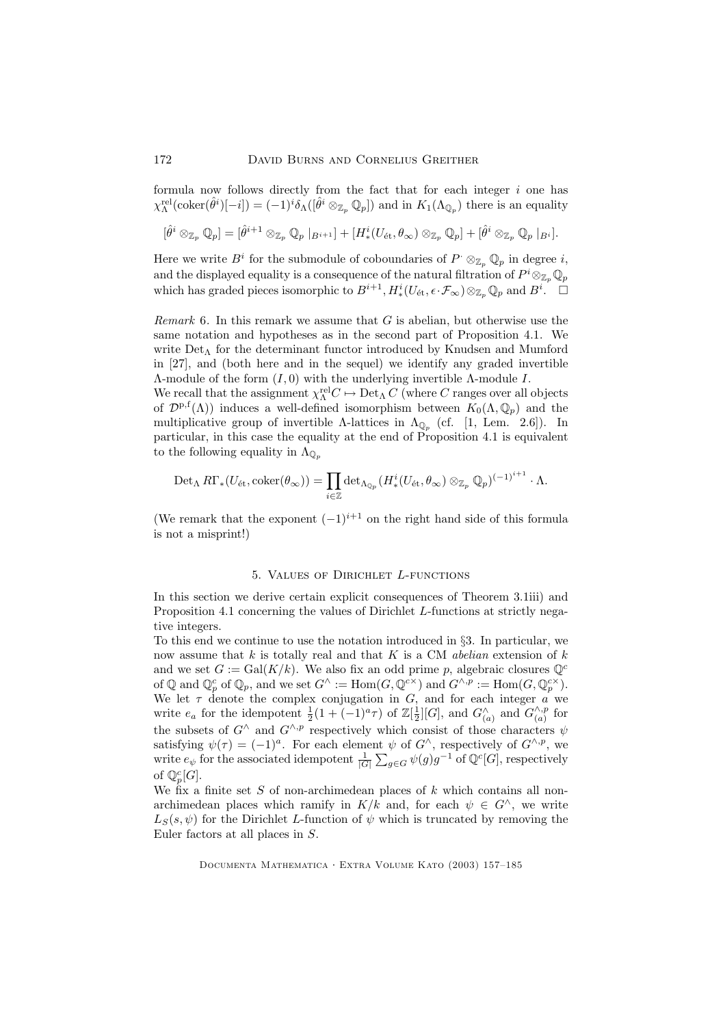formula now follows directly from the fact that for each integer  $i$  one has  $\chi_\Lambda^{\text{rel}}(\text{coker}(\hat{\theta}^i)[-i]) = (-1)^i \delta_\Lambda([\hat{\theta}^i \otimes_{\mathbb{Z}_p} \mathbb{Q}_p])$  and in  $K_1(\Lambda_{\mathbb{Q}_p})$  there is an equality

$$
[\hat{\theta}^i \otimes_{\mathbb{Z}_p} \mathbb{Q}_p] = [\hat{\theta}^{i+1} \otimes_{\mathbb{Z}_p} \mathbb{Q}_p \mid_{B^{i+1}}] + [H^i_*(U_{\text{\'et}}, \theta_{\infty}) \otimes_{\mathbb{Z}_p} \mathbb{Q}_p] + [\hat{\theta}^i \otimes_{\mathbb{Z}_p} \mathbb{Q}_p \mid_{B^i}].
$$

Here we write  $B^i$  for the submodule of coboundaries of  $P^{\cdot} \otimes_{\mathbb{Z}_p} \mathbb{Q}_p$  in degree *i*, and the displayed equality is a consequence of the natural filtration of  $P^i \otimes_{\mathbb{Z}_p} \mathbb{Q}_p$ which has graded pieces isomorphic to  $B^{i+1}, H^i_*(U_{\text{\'et}}, \epsilon \cdot \mathcal{F}_{\infty}) \otimes_{\mathbb{Z}_p} \mathbb{Q}_p$  and  $B^i$ .  $\Box$ 

*Remark* 6. In this remark we assume that  $G$  is abelian, but otherwise use the same notation and hypotheses as in the second part of Proposition 4.1. We write  $Det_A$  for the determinant functor introduced by Knudsen and Mumford in [27], and (both here and in the sequel) we identify any graded invertible  $Λ$ -module of the form  $(I, 0)$  with the underlying invertible  $Λ$ -module  $I$ . We recall that the assignment  $\chi_{\Lambda}^{\text{rel}}C \mapsto \text{Det}_{\Lambda} C$  (where C ranges over all objects of  $\mathcal{D}^{p,f}(\Lambda)$  induces a well-defined isomorphism between  $K_0(\Lambda,\mathbb{Q}_p)$  and the multiplicative group of invertible  $\Lambda$ -lattices in  $\Lambda_{\mathbb{Q}_p}$  (cf. [1, Lem. 2.6]). In particular, in this case the equality at the end of Proposition 4.1 is equivalent

to the following equality in 
$$
\Lambda_{\mathbb{Q}_p}
$$

$$
\mathrm{Det}_{\Lambda} R\Gamma_*(U_{\mathrm{\acute{e}t}}, \mathrm{coker}(\theta_{\infty})) = \prod_{i \in \mathbb{Z}} \mathrm{det}_{\Lambda_{\mathbb{Q}_p}}(H^i_*(U_{\mathrm{\acute{e}t}}, \theta_{\infty}) \otimes_{\mathbb{Z}_p} \mathbb{Q}_p)^{(-1)^{i+1}} \cdot \Lambda.
$$

(We remark that the exponent  $(-1)^{i+1}$  on the right hand side of this formula is not a misprint!)

### 5. Values of Dirichlet L-functions

In this section we derive certain explicit consequences of Theorem 3.1iii) and Proposition 4.1 concerning the values of Dirichlet L-functions at strictly negative integers.

To this end we continue to use the notation introduced in §3. In particular, we now assume that  $k$  is totally real and that  $K$  is a CM *abelian* extension of  $k$ and we set  $G := \text{Gal}(K/k)$ . We also fix an odd prime p, algebraic closures  $\mathbb{Q}^c$ of  $\mathbb Q$  and  $\mathbb Q_p^c$  of  $\mathbb Q_p$ , and we set  $G^{\wedge} := \text{Hom}(G, \mathbb Q^{c \times})$  and  $G^{\wedge, p} := \text{Hom}(G, \mathbb Q_p^{c \times})$ . We let  $\tau$  denote the complex conjugation in  $G$ , and for each integer  $a$  we write  $e_a$  for the idempotent  $\frac{1}{2}(1+(-1)^a \tau)$  of  $\mathbb{Z}[\frac{1}{2}][G]$ , and  $G_{(a)}^{\wedge}$  and  $G_{(a)}^{\wedge,p}$  $\binom{n}{a}$  for the subsets of  $G^{\wedge}$  and  $G^{\wedge,p}$  respectively which consist of those characters  $\psi$ satisfying  $\psi(\tau) = (-1)^a$ . For each element  $\psi$  of  $G^{\wedge}$ , respectively of  $G^{\wedge,p}$ , we write  $e_{\psi}$  for the associated idempotent  $\frac{1}{|G|}\sum_{g\in G}\psi(g)g^{-1}$  of  $\mathbb{Q}^{c}[G]$ , respectively of  $\mathbb{Q}_p^c[G].$ 

We fix a finite set S of non-archimedean places of k which contains all nonarchimedean places which ramify in  $K/k$  and, for each  $\psi \in G^{\wedge}$ , we write  $L_S(s, \psi)$  for the Dirichlet L-function of  $\psi$  which is truncated by removing the Euler factors at all places in S.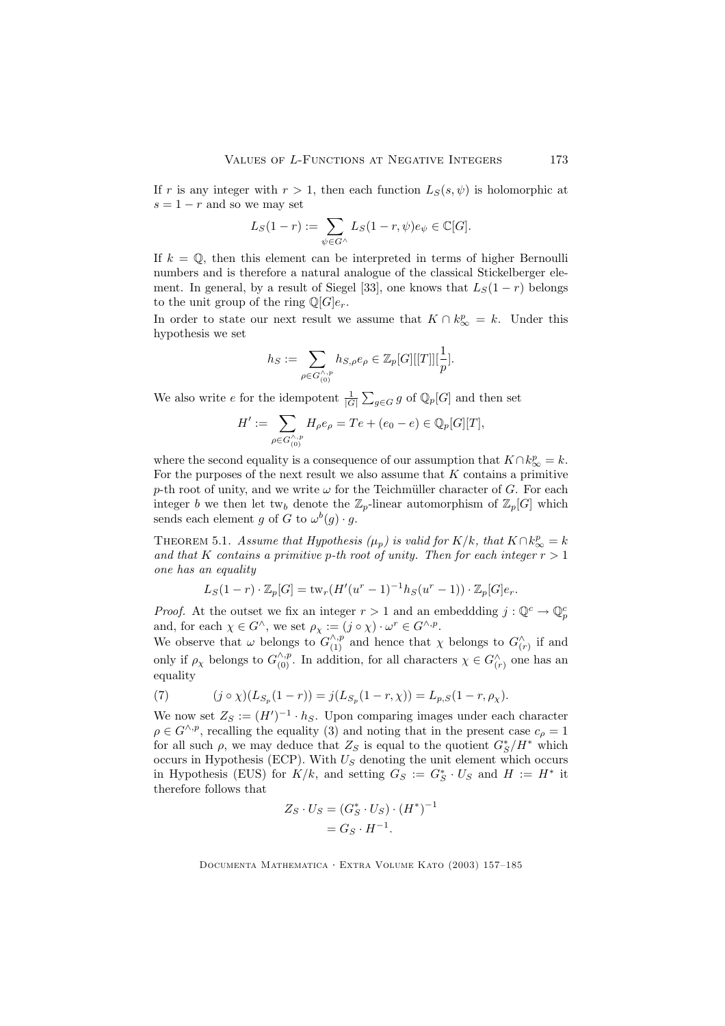If r is any integer with  $r > 1$ , then each function  $L_S(s, \psi)$  is holomorphic at  $s = 1 - r$  and so we may set

$$
L_S(1-r) := \sum_{\psi \in G^{\wedge}} L_S(1-r, \psi) e_{\psi} \in \mathbb{C}[G].
$$

If  $k = \mathbb{Q}$ , then this element can be interpreted in terms of higher Bernoulli numbers and is therefore a natural analogue of the classical Stickelberger element. In general, by a result of Siegel [33], one knows that  $L_S(1 - r)$  belongs to the unit group of the ring  $\mathbb{Q}[G]e_r$ .

In order to state our next result we assume that  $K \cap k_{\infty}^p = k$ . Under this hypothesis we set

$$
h_S := \sum_{\rho \in G_{(0)}^{\wedge, p}} h_{S, \rho} e_{\rho} \in \mathbb{Z}_p[G][[T]][\frac{1}{p}].
$$

We also write e for the idempotent  $\frac{1}{|G|}\sum_{g\in G} g$  of  $\mathbb{Q}_p[G]$  and then set

$$
H' := \sum_{\rho \in G_{(0)}^{\wedge, p}} H_{\rho} e_{\rho} = T e + (e_0 - e) \in \mathbb{Q}_p[G][T],
$$

where the second equality is a consequence of our assumption that  $K \cap k_{\infty}^p = k$ . For the purposes of the next result we also assume that  $K$  contains a primitive p-th root of unity, and we write  $\omega$  for the Teichmüller character of G. For each integer b we then let tw<sub>b</sub> denote the  $\mathbb{Z}_p$ -linear automorphism of  $\mathbb{Z}_p[G]$  which sends each element g of G to  $\omega^{b}(g) \cdot g$ .

THEOREM 5.1. Assume that Hypothesis  $(\mu_p)$  is valid for  $K/k$ , that  $K \cap k^p_{\infty} = k$ and that K contains a primitive p-th root of unity. Then for each integer  $r > 1$ one has an equality

$$
L_S(1-r) \cdot \mathbb{Z}_p[G] = \text{tw}_r(H'(u^r - 1)^{-1}h_S(u^r - 1)) \cdot \mathbb{Z}_p[G]e_r.
$$

*Proof.* At the outset we fix an integer  $r > 1$  and an embeddding  $j : \mathbb{Q}^c \to \mathbb{Q}_p^c$ and, for each  $\chi \in G^{\wedge}$ , we set  $\rho_{\chi} := (j \circ \chi) \cdot \omega^{r} \in G^{\wedge, p}$ .

We observe that  $\omega$  belongs to  $G_{(1)}^{\wedge, p}$  and hence that  $\chi$  belongs to  $G_{(r)}^{\wedge}$  if and only if  $\rho_{\chi}$  belongs to  $G_{(0)}^{\wedge,p}$ . In addition, for all characters  $\chi \in G_{(r)}^{\wedge}$  one has an equality

(7) 
$$
(j \circ \chi)(L_{S_p}(1-r)) = j(L_{S_p}(1-r,\chi)) = L_{p,S}(1-r,\rho_{\chi}).
$$

We now set  $Z_S := (H')^{-1} \cdot h_S$ . Upon comparing images under each character  $\rho \in G^{\wedge, p}$ , recalling the equality (3) and noting that in the present case  $c_{\rho} = 1$ for all such  $\rho$ , we may deduce that  $Z_S$  is equal to the quotient  $G^*_S/H^*$  which occurs in Hypothesis (ECP). With  $U<sub>S</sub>$  denoting the unit element which occurs in Hypothesis (EUS) for  $K/k$ , and setting  $G_S := G_S^* \cdot U_S$  and  $H := H^*$  it therefore follows that

$$
Z_S \cdot U_S = (G_S^* \cdot U_S) \cdot (H^*)^{-1}
$$
  
=  $G_S \cdot H^{-1}$ .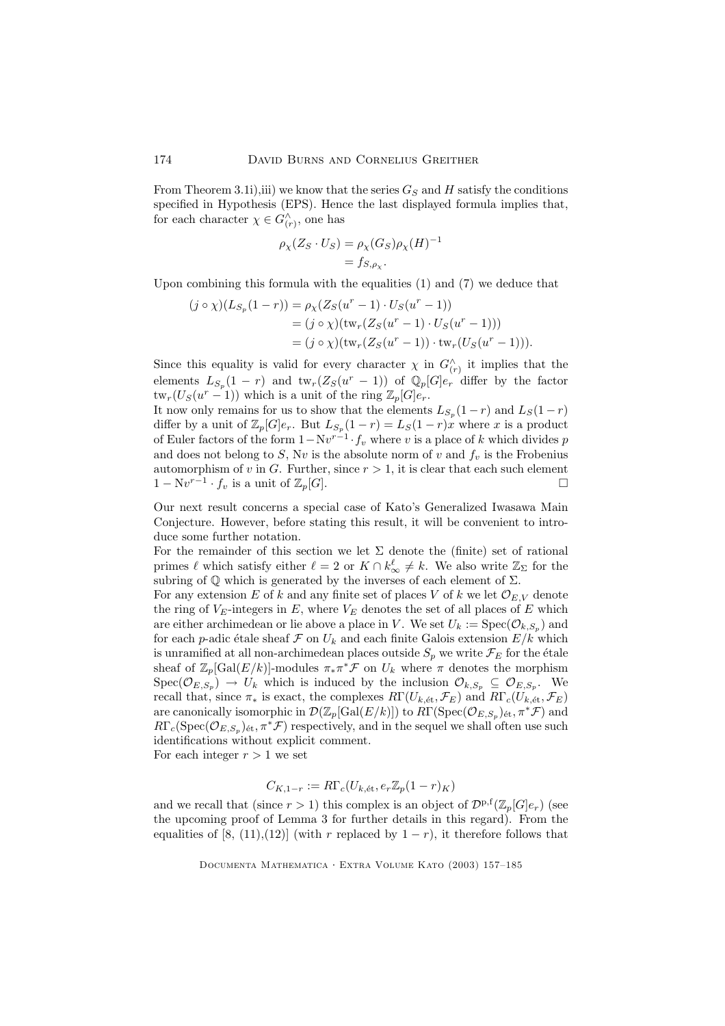From Theorem 3.1i),iii) we know that the series  $G_S$  and H satisfy the conditions specified in Hypothesis (EPS). Hence the last displayed formula implies that, for each character  $\chi \in G_{(r)}^{\wedge}$ , one has

$$
\rho_{\chi}(Z_S \cdot U_S) = \rho_{\chi}(G_S)\rho_{\chi}(H)^{-1}
$$
  
=  $f_{S,\rho_{\chi}}$ .

Upon combining this formula with the equalities (1) and (7) we deduce that

$$
(j \circ \chi)(L_{S_p}(1-r)) = \rho_{\chi}(Z_S(u^r - 1) \cdot U_S(u^r - 1))
$$
  
=  $(j \circ \chi)(\text{tw}_r(Z_S(u^r - 1) \cdot U_S(u^r - 1)))$   
=  $(j \circ \chi)(\text{tw}_r(Z_S(u^r - 1)) \cdot \text{tw}_r(U_S(u^r - 1))).$ 

Since this equality is valid for every character  $\chi$  in  $G_{(r)}^{\wedge}$  it implies that the elements  $L_{S_p}(1-r)$  and  $\text{tw}_r(Z_S(u^r-1))$  of  $\mathbb{Q}_p[G]e_r$  differ by the factor  $\tanctan(U_S(u^r-1))$  which is a unit of the ring  $\mathbb{Z}_p[G]e_r$ .

It now only remains for us to show that the elements  $L_{S_p}(1-r)$  and  $L_S(1-r)$ differ by a unit of  $\mathbb{Z}_p[G]e_r$ . But  $L_{S_p}(1-r) = L_S(1-r)x$  where x is a product of Euler factors of the form  $1 - Nv^{r-1} \cdot f_v$  where v is a place of k which divides p and does not belong to S, Nv is the absolute norm of v and  $f_v$  is the Frobenius automorphism of v in G. Further, since  $r > 1$ , it is clear that each such element  $1 - \mathrm{N}v^{r-1} \cdot f_v$  is a unit of  $\mathbb{Z}_p[G]$ .

Our next result concerns a special case of Kato's Generalized Iwasawa Main Conjecture. However, before stating this result, it will be convenient to introduce some further notation.

For the remainder of this section we let  $\Sigma$  denote the (finite) set of rational primes  $\ell$  which satisfy either  $\ell = 2$  or  $K \cap k^{\ell}_{\infty} \neq k$ . We also write  $\mathbb{Z}_{\Sigma}$  for the subring of  $\mathbb Q$  which is generated by the inverses of each element of  $\Sigma$ .

For any extension E of k and any finite set of places V of k we let  $\mathcal{O}_{E,V}$  denote the ring of  $V_E$ -integers in  $E$ , where  $V_E$  denotes the set of all places of  $E$  which are either archimedean or lie above a place in V. We set  $U_k := \text{Spec}(\mathcal{O}_{k,S_p})$  and for each p-adic étale sheaf F on  $U_k$  and each finite Galois extension  $E/k$  which is unramified at all non-archimedean places outside  $S_p$  we write  $\mathcal{F}_E$  for the étale sheaf of  $\mathbb{Z}_p[\text{Gal}(E/k)]$ -modules  $\pi_* \pi^* \mathcal{F}$  on  $U_k$  where  $\pi$  denotes the morphism  $Spec(\mathcal{O}_{E,S_p}) \rightarrow U_k$  which is induced by the inclusion  $\mathcal{O}_{k,S_p} \subseteq \mathcal{O}_{E,S_p}$ . We recall that, since  $\pi_*$  is exact, the complexes  $R\Gamma(U_{k, \text{\'et}}, \mathcal{F}_E)$  and  $R\Gamma_c(U_{k, \text{\'et}}, \mathcal{F}_E)$ are canonically isomorphic in  $\mathcal{D}(\mathbb{Z}_p[\text{Gal}(E/k)])$  to  $R\Gamma(\text{Spec}(\mathcal{O}_{E,S_p})_{\text{\'{e}t}},\pi^*\mathcal{F})$  and  $R\Gamma_c(\text{Spec}(\mathcal{O}_{E, S_p})_{\text{\'et}}, \pi^*\mathcal{F})$  respectively, and in the sequel we shall often use such identifications without explicit comment.

For each integer  $r > 1$  we set

$$
C_{K,1-r} := R\Gamma_c(U_{k, \text{\'et}}, e_r\mathbb{Z}_p(1-r)_K)
$$

and we recall that (since  $r > 1$ ) this complex is an object of  $\mathcal{D}^{p,f}(\mathbb{Z}_p[G]e_r)$  (see the upcoming proof of Lemma 3 for further details in this regard). From the equalities of [8, (11),(12)] (with r replaced by  $1 - r$ ), it therefore follows that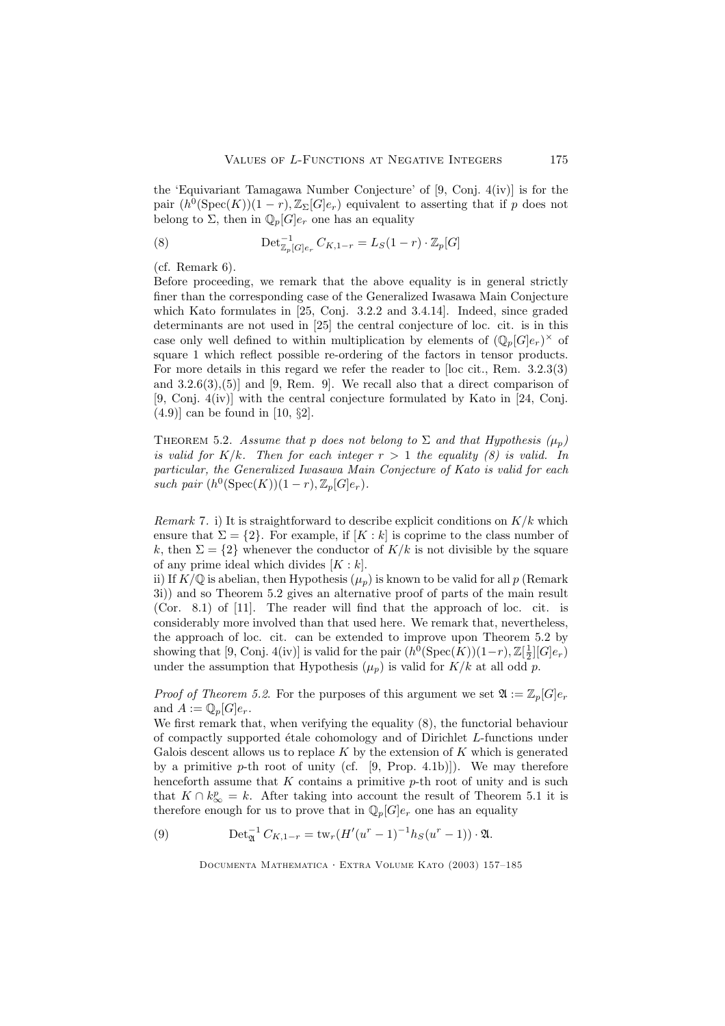the 'Equivariant Tamagawa Number Conjecture' of [9, Conj. 4(iv)] is for the pair  $(h^0(\text{Spec}(K))(1-r),\mathbb{Z}_{\Sigma}[G]e_r)$  equivalent to asserting that if p does not belong to  $\Sigma$ , then in  $\mathbb{Q}_p[G]e_r$  one has an equality

(8) 
$$
\text{Det}_{\mathbb{Z}_p[G]e_r}^{-1} C_{K,1-r} = L_S(1-r) \cdot \mathbb{Z}_p[G]
$$

(cf. Remark 6).

Before proceeding, we remark that the above equality is in general strictly finer than the corresponding case of the Generalized Iwasawa Main Conjecture which Kato formulates in [25, Conj. 3.2.2 and 3.4.14]. Indeed, since graded determinants are not used in [25] the central conjecture of loc. cit. is in this case only well defined to within multiplication by elements of  $(\mathbb{Q}_p[G]e_r)^\times$  of square 1 which reflect possible re-ordering of the factors in tensor products. For more details in this regard we refer the reader to [loc cit., Rem. 3.2.3(3) and  $3.2.6(3),(5)$ ] and [9, Rem. 9]. We recall also that a direct comparison of  $[9, \text{Conj. } 4(iv)]$  with the central conjecture formulated by Kato in [24, Conj.  $(4.9)$ ] can be found in [10, §2].

THEOREM 5.2. Assume that p does not belong to  $\Sigma$  and that Hypothesis  $(\mu_p)$ is valid for  $K/k$ . Then for each integer  $r > 1$  the equality (8) is valid. In particular, the Generalized Iwasawa Main Conjecture of Kato is valid for each such pair  $(h^0(\text{Spec}(K))(1-r), \mathbb{Z}_p[G]e_r)$ .

Remark 7. i) It is straightforward to describe explicit conditions on  $K/k$  which ensure that  $\Sigma = \{2\}$ . For example, if  $[K : k]$  is coprime to the class number of k, then  $\Sigma = \{2\}$  whenever the conductor of  $K/k$  is not divisible by the square of any prime ideal which divides  $[K : k]$ .

ii) If  $K/\mathbb{Q}$  is abelian, then Hypothesis  $(\mu_p)$  is known to be valid for all p (Remark 3i)) and so Theorem 5.2 gives an alternative proof of parts of the main result (Cor. 8.1) of [11]. The reader will find that the approach of loc. cit. is considerably more involved than that used here. We remark that, nevertheless, the approach of loc. cit. can be extended to improve upon Theorem 5.2 by showing that [9, Conj. 4(iv)] is valid for the pair  $(h^0(\text{Spec}(K))(1-r), \mathbb{Z}[\frac{1}{2}][G]e_r)$ under the assumption that Hypothesis  $(\mu_p)$  is valid for  $K/k$  at all odd p.

*Proof of Theorem 5.2.* For the purposes of this argument we set  $\mathfrak{A} := \mathbb{Z}_p[G]e_r$ and  $A := \mathbb{Q}_p[G]e_r$ .

We first remark that, when verifying the equality (8), the functorial behaviour of compactly supported ´etale cohomology and of Dirichlet L-functions under Galois descent allows us to replace  $K$  by the extension of  $K$  which is generated by a primitive p-th root of unity (cf.  $[9, Prop. 4.1b)]$ ). We may therefore henceforth assume that  $K$  contains a primitive  $p$ -th root of unity and is such that  $K \cap k_{\infty}^p = k$ . After taking into account the result of Theorem 5.1 it is therefore enough for us to prove that in  $\mathbb{Q}_p[G]e_r$  one has an equality

(9) 
$$
\mathrm{Det}_{\mathfrak{A}}^{-1} C_{K,1-r} = \mathrm{tw}_r (H'(u^r - 1)^{-1} h_S(u^r - 1)) \cdot \mathfrak{A}.
$$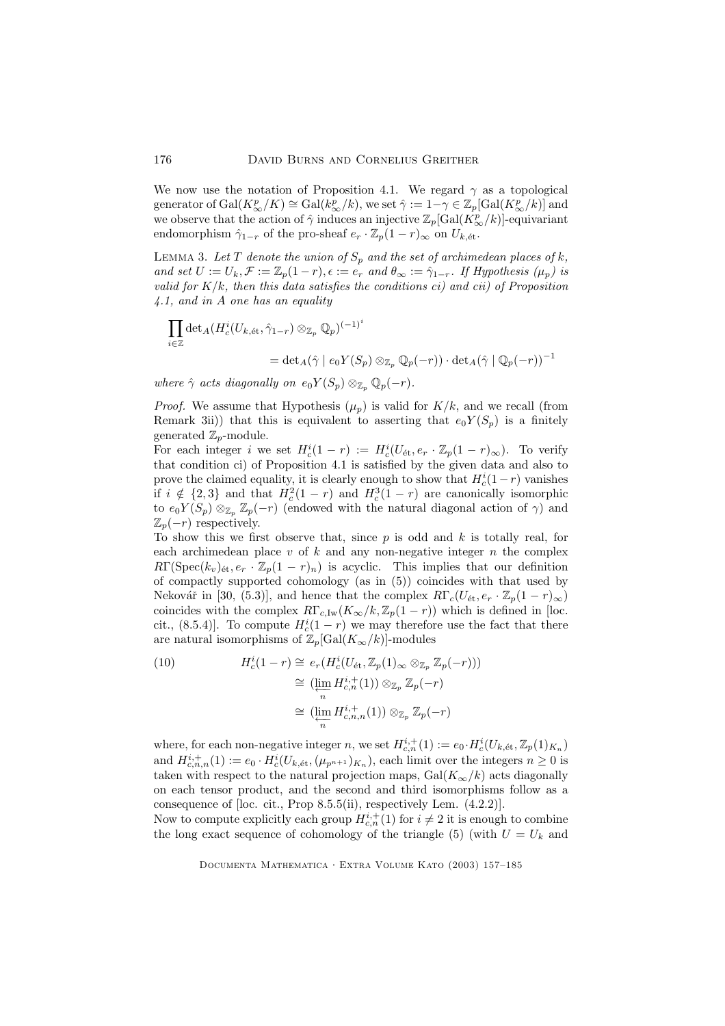We now use the notation of Proposition 4.1. We regard  $\gamma$  as a topological generator of  $Gal(K_{\infty}^p/K) \cong Gal(k_{\infty}^p/k)$ , we set  $\hat{\gamma} := 1 - \gamma \in \mathbb{Z}_p[Gal(K_{\infty}^p/k)]$  and we observe that the action of  $\hat{\gamma}$  induces an injective  $\mathbb{Z}_p[\text{Gal}(K^p_{\infty}/k)]$ -equivariant endomorphism  $\hat{\gamma}_{1-r}$  of the pro-sheaf  $e_r \cdot \mathbb{Z}_p(1-r)_{\infty}$  on  $U_{k, \text{\'et}}$ .

LEMMA 3. Let T denote the union of  $S_p$  and the set of archimedean places of k, and set  $U := U_k$ ,  $\mathcal{F} := \mathbb{Z}_p(1-r)$ ,  $\epsilon := e_r$  and  $\theta_\infty := \hat{\gamma}_{1-r}$ . If Hypothesis  $(\mu_p)$  is valid for  $K/k$ , then this data satisfies the conditions ci) and cii) of Proposition 4.1, and in A one has an equality

$$
\prod_{i \in \mathbb{Z}} \det_A (H_c^i(U_{k, \text{\'et}}, \hat{\gamma}_{1-r}) \otimes_{\mathbb{Z}_p} \mathbb{Q}_p)^{(-1)^i}
$$
  
= 
$$
\det_A(\hat{\gamma} \mid e_0 Y(S_p) \otimes_{\mathbb{Z}_p} \mathbb{Q}_p(-r)) \cdot \det_A(\hat{\gamma} \mid \mathbb{Q}_p(-r))^{-1}
$$

where  $\hat{\gamma}$  acts diagonally on  $e_0Y(S_p) \otimes_{\mathbb{Z}_p} \mathbb{Q}_p(-r)$ .

*Proof.* We assume that Hypothesis  $(\mu_p)$  is valid for  $K/k$ , and we recall (from Remark 3ii)) that this is equivalent to asserting that  $e_0Y(S_n)$  is a finitely generated  $\mathbb{Z}_p$ -module.

For each integer *i* we set  $H_c^i(1-r) := H_c^i(U_{\text{\'et}}, e_r \cdot \mathbb{Z}_p(1-r)_{\infty})$ . To verify that condition ci) of Proposition 4.1 is satisfied by the given data and also to prove the claimed equality, it is clearly enough to show that  $H_c^i(1-r)$  vanishes if  $i \notin \{2,3\}$  and that  $H_c^2(1-r)$  and  $H_c^3(1-r)$  are canonically isomorphic to  $e_0Y(S_p) \otimes_{\mathbb{Z}_p} \mathbb{Z}_p(-r)$  (endowed with the natural diagonal action of  $\gamma$ ) and  $\mathbb{Z}_p(-r)$  respectively.

To show this we first observe that, since  $p$  is odd and  $k$  is totally real, for each archimedean place  $v$  of  $k$  and any non-negative integer  $n$  the complex  $R\Gamma(\text{Spec}(k_v)_{\text{\'et}}, e_r \cdot \mathbb{Z}_p(1-r)_n)$  is acyclic. This implies that our definition of compactly supported cohomology (as in (5)) coincides with that used by Nekovář in [30, (5.3)], and hence that the complex  $R\Gamma_c(U_{\text{\'et}}, e_r \cdot \mathbb{Z}_p(1-r)_{\infty})$ coincides with the complex  $R\Gamma_{c,\mathrm{Iw}}(K_{\infty}/k,\mathbb{Z}_p(1-r))$  which is defined in [loc. cit., (8.5.4)]. To compute  $H_c^i(1-r)$  we may therefore use the fact that there are natural isomorphisms of  $\mathbb{Z}_p[\text{Gal}(K_{\infty}/k)]$ -modules

(10) 
$$
H_c^i(1-r) \cong e_r(H_c^i(U_{\text{\'et}}, \mathbb{Z}_p(1)_{\infty} \otimes_{\mathbb{Z}_p} \mathbb{Z}_p(-r)))
$$

$$
\cong (\varprojlim_n H_{c,n}^{i,+}(1)) \otimes_{\mathbb{Z}_p} \mathbb{Z}_p(-r)
$$

$$
\cong (\varprojlim_n H_{c,n,n}^{i,+}(1)) \otimes_{\mathbb{Z}_p} \mathbb{Z}_p(-r)
$$

where, for each non-negative integer n, we set  $H_{c,n}^{i,+}(1) := e_0 \cdot H_c^i(U_{k, \text{\'et}}, \mathbb{Z}_p(1)_{K_n})$ and  $H_{c,n,n}^{i,+}(1) := e_0 \cdot H_c^i(U_{k, \text{\'et}},(\mu_{p^{n+1}})_{K_n})$ , each limit over the integers  $n \geq 0$  is taken with respect to the natural projection maps,  $Gal(K_{\infty}/k)$  acts diagonally on each tensor product, and the second and third isomorphisms follow as a consequence of [loc. cit., Prop 8.5.5(ii), respectively Lem. (4.2.2)].

Now to compute explicitly each group  $H_{c,n}^{i,+}(1)$  for  $i \neq 2$  it is enough to combine the long exact sequence of cohomology of the triangle (5) (with  $U = U_k$  and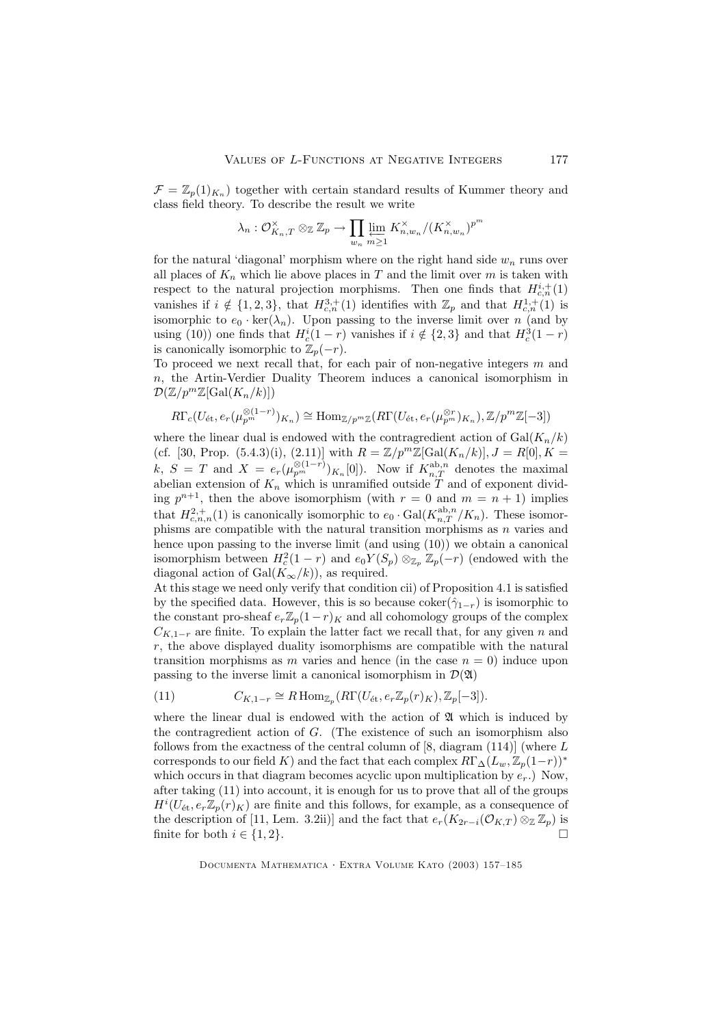$\mathcal{F} = \mathbb{Z}_p(1)_{K_n}$  together with certain standard results of Kummer theory and class field theory. To describe the result we write

$$
\lambda_n: \mathcal{O}_{K_n,T}^{\times} \otimes_{\mathbb{Z}} \mathbb{Z}_p \to \prod_{w_n} \varprojlim_{m \geq 1} K_{n,w_n}^{\times} / (K_{n,w_n}^{\times})^{p^m}
$$

for the natural 'diagonal' morphism where on the right hand side  $w_n$  runs over all places of  $K_n$  which lie above places in T and the limit over m is taken with respect to the natural projection morphisms. Then one finds that  $H_{c,n}^{i, +}(1)$ vanishes if  $i \notin \{1,2,3\}$ , that  $H_{c,n}^{3,+}(1)$  identifies with  $\mathbb{Z}_p$  and that  $H_{c,n}^{1,+}(1)$  is isomorphic to  $e_0 \cdot \ker(\lambda_n)$ . Upon passing to the inverse limit over n (and by using (10)) one finds that  $H_c^i(1-r)$  vanishes if  $i \notin \{2,3\}$  and that  $H_c^3(1-r)$ is canonically isomorphic to  $\mathbb{Z}_p(-r)$ .

To proceed we next recall that, for each pair of non-negative integers  $m$  and n, the Artin-Verdier Duality Theorem induces a canonical isomorphism in  $\mathcal{D}(\mathbb{Z}/p^m\mathbb{Z}[\text{Gal}(K_n/k)])$ 

$$
R\Gamma_c(U_{\text{\'et}},e_r(\mu_{p^m}^{\otimes (1-r)})_{K_n}) \cong \text{Hom}_{\mathbb{Z}/p^m\mathbb{Z}}(R\Gamma(U_{\text{\'et}},e_r(\mu_{p^m}^{\otimes r})_{K_n}),\mathbb{Z}/p^m\mathbb{Z}[-3])
$$

where the linear dual is endowed with the contragredient action of  $Gal(K_n/k)$ (cf. [30, Prop. (5.4.3)(i), (2.11)] with  $R = \mathbb{Z}/p^m\mathbb{Z}[\text{Gal}(K_n/k)], J = R[0], K =$  $k, S = T \text{ and } X = e_r(\mu_{p^m}^{\otimes (1-r)})_{K_n}[0])$ . Now if  $K_{n,T}^{\text{ab},n}$  denotes the maximal abelian extension of  $K_n$  which is unramified outside T and of exponent dividing  $p^{n+1}$ , then the above isomorphism (with  $r = 0$  and  $m = n + 1$ ) implies that  $H_{c,n,n}^{2,+}(1)$  is canonically isomorphic to  $e_0 \cdot \text{Gal}(K_{n,T}^{\text{ab},n}/K_n)$ . These isomorphisms are compatible with the natural transition morphisms as  $n$  varies and hence upon passing to the inverse limit (and using (10)) we obtain a canonical isomorphism between  $H_c^2(1-r)$  and  $e_0Y(S_p) \otimes_{\mathbb{Z}_p} \mathbb{Z}_p(-r)$  (endowed with the diagonal action of Gal $(K_\infty/k)$ , as required.

At this stage we need only verify that condition cii) of Proposition 4.1 is satisfied by the specified data. However, this is so because  $\text{coker}(\hat{\gamma}_{1-r})$  is isomorphic to the constant pro-sheaf  $e_r\mathbb{Z}_p(1-r)_K$  and all cohomology groups of the complex  $C_{K,1-r}$  are finite. To explain the latter fact we recall that, for any given n and  $r$ , the above displayed duality isomorphisms are compatible with the natural transition morphisms as m varies and hence (in the case  $n = 0$ ) induce upon passing to the inverse limit a canonical isomorphism in  $\mathcal{D}(\mathfrak{A})$ 

(11) 
$$
C_{K,1-r} \cong R \operatorname{Hom}_{\mathbb{Z}_p}(R\Gamma(U_{\text{\'et}},e_r\mathbb{Z}_p(r)_K),\mathbb{Z}_p[-3]).
$$

where the linear dual is endowed with the action of  $\mathfrak A$  which is induced by the contragredient action of G. (The existence of such an isomorphism also follows from the exactness of the central column of  $[8, \text{ diagram } (114)]$  (where L corresponds to our field K) and the fact that each complex  $R\Gamma_{\Delta}(L_w,\mathbb{Z}_p(1-r))^*$ which occurs in that diagram becomes acyclic upon multiplication by  $e_r$ .) Now, after taking (11) into account, it is enough for us to prove that all of the groups  $H^{i}(U_{\text{\'et}}, e_r\mathbb{Z}_p(r)_K)$  are finite and this follows, for example, as a consequence of the description of [11, Lem. 3.2ii)] and the fact that  $e_r(K_{2r-i}(\mathcal{O}_{K,T}) \otimes_{\mathbb{Z}} \mathbb{Z}_p)$  is finite for both  $i \in \{1, 2\}$ finite for both  $i \in \{1, 2\}$ .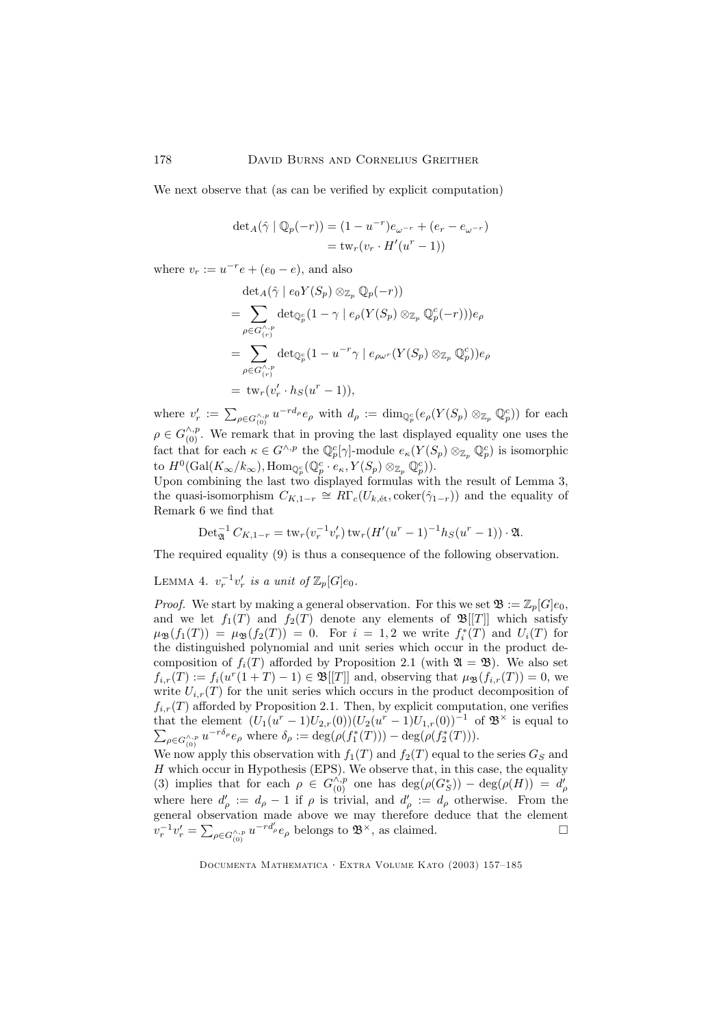We next observe that (as can be verified by explicit computation)

$$
\det_A(\hat{\gamma} \mid \mathbb{Q}_p(-r)) = (1 - u^{-r})e_{\omega^{-r}} + (e_r - e_{\omega^{-r}}) \n= \text{tw}_r(v_r \cdot H'(u^r - 1))
$$

where  $v_r := u^{-r}e + (e_0 - e)$ , and also

$$
\det_{A}(\hat{\gamma} \mid e_{0}Y(S_{p}) \otimes_{\mathbb{Z}_{p}} \mathbb{Q}_{p}(-r))
$$
\n
$$
= \sum_{\rho \in G_{(r)}^{\wedge, p}} \det_{\mathbb{Q}_{p}^{c}} (1 - \gamma \mid e_{\rho}(Y(S_{p}) \otimes_{\mathbb{Z}_{p}} \mathbb{Q}_{p}^{c}(-r))) e_{\rho}
$$
\n
$$
= \sum_{\rho \in G_{(r)}^{\wedge, p}} \det_{\mathbb{Q}_{p}^{c}} (1 - u^{-r} \gamma \mid e_{\rho \omega^{r}} (Y(S_{p}) \otimes_{\mathbb{Z}_{p}} \mathbb{Q}_{p}^{c})) e_{\rho}
$$
\n
$$
= \operatorname{tw}_{r}(v_{r}' \cdot h_{S}(u^{r} - 1)),
$$

where  $v'_r := \sum_{\rho \in G_{(0)}^{\wedge, p}} u^{-r d_\rho} e_\rho$  with  $d_\rho := \dim_{\mathbb{Q}_p^c}(e_\rho(Y(S_p) \otimes_{\mathbb{Z}_p} \mathbb{Q}_p^c))$  for each  $\rho \in G_{(0)}^{\wedge, p}$ . We remark that in proving the last displayed equality one uses the fact that for each  $\kappa \in G^{\wedge, p}$  the  $\mathbb{Q}_p^c[\gamma]$ -module  $e_{\kappa}(Y(S_p) \otimes_{\mathbb{Z}_p} \mathbb{Q}_p^c)$  is isomorphic to  $H^0(\text{Gal}(K_\infty/k_\infty), \text{Hom}_{\mathbb{Q}_p^c}(\mathbb{Q}_p^c \cdot e_\kappa, Y(S_p) \otimes_{\mathbb{Z}_p} \mathbb{Q}_p^c)).$ 

Upon combining the last two displayed formulas with the result of Lemma 3, the quasi-isomorphism  $C_{K,1-r} \cong R\Gamma_c(U_{k, \text{\'et}}, \text{coker}(\hat{\gamma}_{1-r}))$  and the equality of Remark 6 we find that

$$
\operatorname{Det}_{\mathfrak{A}}^{-1} C_{K,1-r} = \operatorname{tw}_r(v_r^{-1}v'_r)\operatorname{tw}_r(H'(u^r-1)^{-1}h_S(u^r-1))\cdot \mathfrak{A}.
$$

The required equality (9) is thus a consequence of the following observation.

LEMMA 4.  $v_r^{-1}v'_r$  is a unit of  $\mathbb{Z}_p[G]e_0$ .

*Proof.* We start by making a general observation. For this we set  $\mathfrak{B} := \mathbb{Z}_p[G]e_0$ , and we let  $f_1(T)$  and  $f_2(T)$  denote any elements of  $\mathfrak{B}[[T]]$  which satisfy  $\mu_{\mathfrak{B}}(f_1(T)) = \mu_{\mathfrak{B}}(f_2(T)) = 0.$  For  $i = 1, 2$  we write  $f_i^*(T)$  and  $U_i(T)$  for the distinguished polynomial and unit series which occur in the product decomposition of  $f_i(T)$  afforded by Proposition 2.1 (with  $\mathfrak{A} = \mathfrak{B}$ ). We also set  $f_{i,r}(T) := f_i(u^r(1+T) - 1) \in \mathfrak{B}[[T]]$  and, observing that  $\mu_{\mathfrak{B}}(f_{i,r}(T)) = 0$ , we write  $U_{i,r}(T)$  for the unit series which occurs in the product decomposition of  $f_{i,r}(T)$  afforded by Proposition 2.1. Then, by explicit computation, one verifies that the element  $(U_1(u^r - 1)U_{2,r}(0))(U_2(u^r - 1)U_{1,r}(0))^{-1}$  of  $\mathfrak{B}^{\times}$  is equal to  $\sum_{\rho \in G_{(0)}^{\wedge, p}} u^{-r\delta_{\rho}} e_{\rho}$  where  $\delta_{\rho} := \deg(\rho(f_1^*(T))) - \deg(\rho(f_2^*(T))).$ 

We now apply this observation with  $f_1(T)$  and  $f_2(T)$  equal to the series  $G_S$  and  $H$  which occur in Hypothesis (EPS). We observe that, in this case, the equality (3) implies that for each  $\rho \in G_{(0)}^{\wedge, p}$  one has  $\deg(\rho(G_S^*)) - \deg(\rho(H)) = d'_{\rho}$ where here  $d'_{\rho} := d_{\rho} - 1$  if  $\rho$  is trivial, and  $d'_{\rho} := d_{\rho}$  otherwise. From the general observation made above we may therefore deduce that the element  $v_r^{-1}v'_r = \sum_{\rho \in G_{(0)}^{\wedge, p}} u^{-rd'_\rho} e_\rho$  belongs to  $\mathfrak{B}^{\times}$ , as claimed.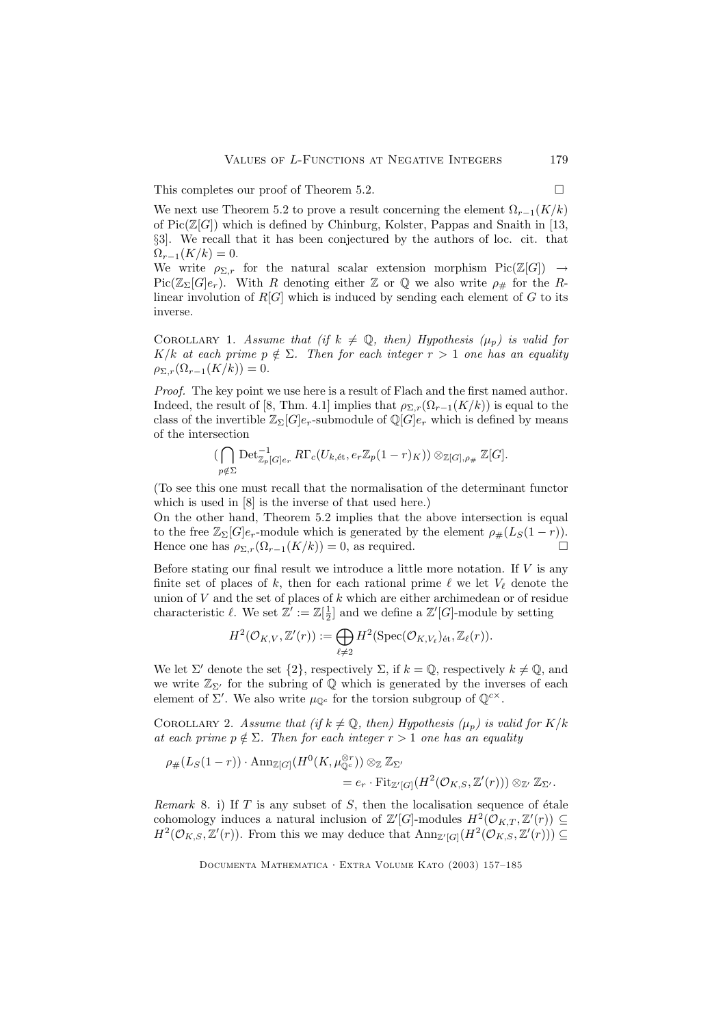This completes our proof of Theorem 5.2.  $\Box$ 

We next use Theorem 5.2 to prove a result concerning the element  $\Omega_{r-1}(K/k)$ of  $Pic(\mathbb{Z}[G])$  which is defined by Chinburg, Kolster, Pappas and Snaith in [13, §3]. We recall that it has been conjectured by the authors of loc. cit. that  $\Omega_{r-1}(K/k) = 0.$ 

We write  $\rho_{\Sigma,r}$  for the natural scalar extension morphism  $Pic(\mathbb{Z}[G]) \to$  $Pic(\mathbb{Z}_{\Sigma}[G]e_r)$ . With R denoting either Z or Q we also write  $\rho_{\#}$  for the Rlinear involution of  $R[G]$  which is induced by sending each element of G to its inverse.

COROLLARY 1. Assume that (if  $k \neq \mathbb{Q}$ , then) Hypothesis ( $\mu_p$ ) is valid for K/k at each prime  $p \notin \Sigma$ . Then for each integer  $r > 1$  one has an equality  $\rho_{\Sigma,r}(\Omega_{r-1}(K/k)) = 0.$ 

Proof. The key point we use here is a result of Flach and the first named author. Indeed, the result of [8, Thm. 4.1] implies that  $\rho_{\Sigma,r}(\Omega_{r-1}(K/k))$  is equal to the class of the invertible  $\mathbb{Z}_{\Sigma}[G]e_r$ -submodule of  $\mathbb{Q}[G]e_r$  which is defined by means of the intersection

$$
\left(\bigcap_{p \notin \Sigma} \mathrm{Det}^{-1}_{\mathbb{Z}_p[G]e_r} R\Gamma_c(U_{k, \text{\'et}}, e_r \mathbb{Z}_p(1-r)_K)\right) \otimes_{\mathbb{Z}[G], \rho_{\#}} \mathbb{Z}[G].
$$

(To see this one must recall that the normalisation of the determinant functor which is used in [8] is the inverse of that used here.)

On the other hand, Theorem 5.2 implies that the above intersection is equal to the free  $\mathbb{Z}_{\Sigma}[G]e_r$ -module which is generated by the element  $\rho_{\#}(L_S(1-r))$ .<br>Hence one has  $\rho_{\Sigma}(G_{-S}(K/k)) = 0$  as required Hence one has  $\rho_{\Sigma,r}(\Omega_{r-1}(K/k)) = 0$ , as required.

Before stating our final result we introduce a little more notation. If  $V$  is any finite set of places of k, then for each rational prime  $\ell$  we let  $V_{\ell}$  denote the union of  $V$  and the set of places of  $k$  which are either archimedean or of residue characteristic  $\ell$ . We set  $\mathbb{Z}' := \mathbb{Z}[\frac{1}{2}]$  and we define a  $\mathbb{Z}'[G]$ -module by setting

$$
H^2(\mathcal{O}_{K,V}, \mathbb{Z}'(r)) := \bigoplus_{\ell \neq 2} H^2(\mathrm{Spec}(\mathcal{O}_{K,V_{\ell}})_{\mathrm{\acute{e}t}}, \mathbb{Z}_{\ell}(r)).
$$

We let  $\Sigma'$  denote the set  $\{2\}$ , respectively  $\Sigma$ , if  $k = \mathbb{Q}$ , respectively  $k \neq \mathbb{Q}$ , and we write  $\mathbb{Z}_{\Sigma'}$  for the subring of  $\mathbb Q$  which is generated by the inverses of each element of  $\Sigma'$ . We also write  $\mu_{\mathbb{Q}^c}$  for the torsion subgroup of  $\mathbb{Q}^{c \times}$ .

COROLLARY 2. Assume that (if  $k \neq \mathbb{Q}$ , then) Hypothesis ( $\mu_p$ ) is valid for K/k at each prime  $p \notin \Sigma$ . Then for each integer  $r > 1$  one has an equality

$$
\rho_{\#}(L_S(1-r)) \cdot \text{Ann}_{\mathbb{Z}[G]}(H^0(K, \mu_{\mathbb{Q}^c}^{\otimes r})) \otimes_{\mathbb{Z}} \mathbb{Z}_{\Sigma'}= e_r \cdot \text{Fit}_{\mathbb{Z}'[G]}(H^2(\mathcal{O}_{K,S}, \mathbb{Z}'(r))) \otimes_{\mathbb{Z}'} \mathbb{Z}_{\Sigma'}.
$$

Remark 8. i) If  $T$  is any subset of  $S$ , then the localisation sequence of étale cohomology induces a natural inclusion of  $\mathbb{Z}'[G]$ -modules  $H^2(\mathcal{O}_{K,T}, \mathbb{Z}'(r)) \subseteq$  $H^2(\mathcal{O}_{K,S}, \mathbb{Z}'(r))$ . From this we may deduce that  $\text{Ann}_{\mathbb{Z}'[G]}(H^2(\mathcal{O}_{K,S}, \mathbb{Z}'(r))) \subseteq$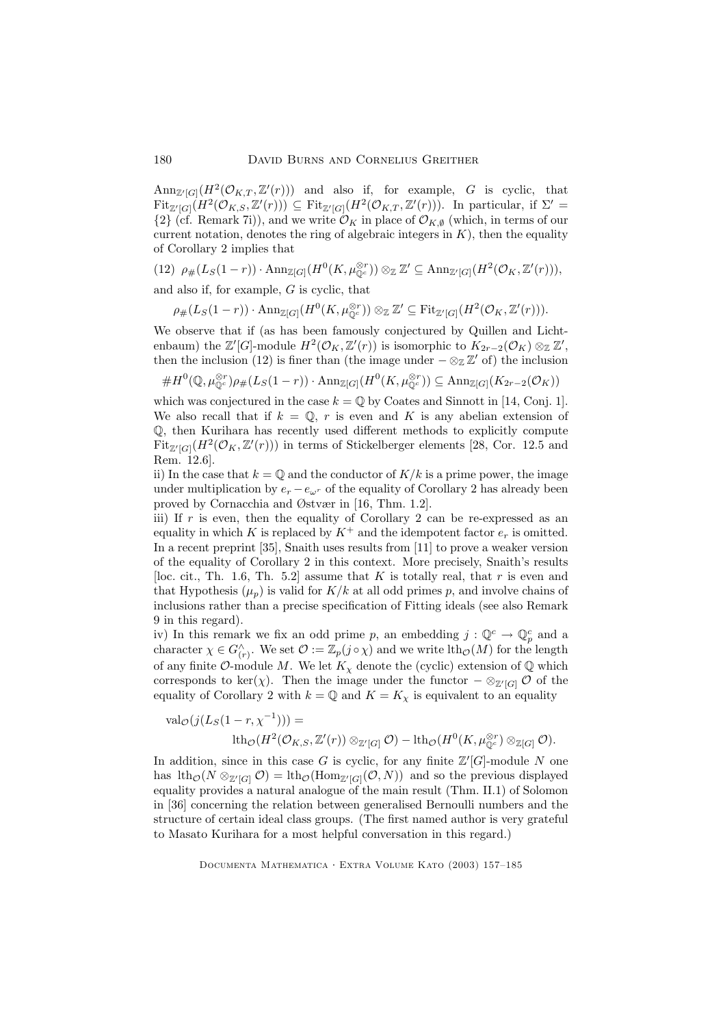$\text{Ann}_{\mathbb{Z}^r[G]}(H^2(\mathcal{O}_{K,T},\mathbb{Z}^r(r)))$  and also if, for example, G is cyclic, that  $\mathrm{Fit}_{\mathbb{Z}^{\prime}[G]}(H^{2}(\mathcal{O}_{K,S},\mathbb{Z}^{\prime}(r))) \subseteq \mathrm{Fit}_{\mathbb{Z}^{\prime}[G]}(H^{2}(\mathcal{O}_{K,T},\mathbb{Z}^{\prime}(r)))$ . In particular, if  $\Sigma^{\prime}$  =  ${2}$  (cf. Remark 7i)), and we write  $\mathcal{O}_K$  in place of  $\mathcal{O}_{K\emptyset}$  (which, in terms of our current notation, denotes the ring of algebraic integers in  $K$ ), then the equality of Corollary 2 implies that

(12) 
$$
\rho_{\#}(L_S(1-r)) \cdot \text{Ann}_{\mathbb{Z}[G]}(H^0(K, \mu_{\mathbb{Q}^c}^{\otimes r})) \otimes_{\mathbb{Z}} \mathbb{Z}' \subseteq \text{Ann}_{\mathbb{Z}'[G]}(H^2(\mathcal{O}_K, \mathbb{Z}'(r))),
$$

and also if, for example, G is cyclic, that

 $\rho_{\#}(L_S(1-r)) \cdot \text{Ann}_{\mathbb{Z}[G]}(H^0(K,\mu_{\mathbb{Q}^c}^{\otimes r})) \otimes_{\mathbb{Z}} \mathbb{Z}' \subseteq \text{Fit}_{\mathbb{Z}'[G]}(H^2(\mathcal{O}_K,\mathbb{Z}'(r))).$ 

We observe that if (as has been famously conjectured by Quillen and Lichtenbaum) the  $\mathbb{Z}'[G]$ -module  $H^2(\mathcal{O}_K, \mathbb{Z}'(r))$  is isomorphic to  $K_{2r-2}(\mathcal{O}_K) \otimes_{\mathbb{Z}} \mathbb{Z}'$ , then the inclusion (12) is finer than (the image under  $-\otimes_{\mathbb{Z}} \mathbb{Z}'$  of) the inclusion

 $\#H^0(\mathbb{Q},\mu_{\mathbb{Q}^c}^{\otimes r})\rho_{\#}(L_S(1-r))\cdot \text{Ann}_{\mathbb{Z}[G]}(H^0(K,\mu_{\mathbb{Q}^c}^{\otimes r}))\subseteq \text{Ann}_{\mathbb{Z}[G]}(K_{2r-2}(\mathcal{O}_K))$ 

which was conjectured in the case  $k = \mathbb{Q}$  by Coates and Sinnott in [14, Conj. 1]. We also recall that if  $k = \mathbb{Q}$ , r is even and K is any abelian extension of Q, then Kurihara has recently used different methods to explicitly compute  $\text{Fit}_{\mathbb{Z}^r[G]}(H^2(\mathcal{O}_K,\mathbb{Z}^r(r)))$  in terms of Stickelberger elements [28, Cor. 12.5 and Rem. 12.6].

ii) In the case that  $k = \mathbb{Q}$  and the conductor of  $K/k$  is a prime power, the image under multiplication by  $e_r - e_{\omega^r}$  of the equality of Corollary 2 has already been proved by Cornacchia and Østvær in [16, Thm. 1.2].

iii) If r is even, then the equality of Corollary 2 can be re-expressed as an equality in which K is replaced by  $K^+$  and the idempotent factor  $e_r$  is omitted. In a recent preprint [35], Snaith uses results from [11] to prove a weaker version of the equality of Corollary 2 in this context. More precisely, Snaith's results [loc. cit., Th. 1.6, Th. 5.2] assume that K is totally real, that r is even and that Hypothesis  $(\mu_n)$  is valid for  $K/k$  at all odd primes p, and involve chains of inclusions rather than a precise specification of Fitting ideals (see also Remark 9 in this regard).

iv) In this remark we fix an odd prime p, an embedding  $j: \mathbb{Q}^c \to \mathbb{Q}_p^c$  and a character  $\chi \in G_{(r)}^{\wedge}$ . We set  $\mathcal{O} := \mathbb{Z}_p(j \circ \chi)$  and we write  $\mathrm{lth}_{\mathcal{O}}(M)$  for the length of any finite  $\mathcal{O}$ -module M. We let  $K_{\mathcal{X}}$  denote the (cyclic) extension of  $\mathbb{Q}$  which corresponds to ker( $\chi$ ). Then the image under the functor  $-\otimes_{\mathbb{Z}'}[G]$  O of the equality of Corollary 2 with  $k = \mathbb{Q}$  and  $K = K_{\chi}$  is equivalent to an equality

$$
\mathrm{val}_{\mathcal{O}}(j(L_{S}(1-r,\chi^{-1})))=\newline \mathrm{lth}_{\mathcal{O}}(H^{2}(\mathcal{O}_{K,S},\mathbb{Z}'(r))\otimes_{\mathbb{Z}'[G]}\mathcal{O})-\mathrm{lth}_{\mathcal{O}}(H^{0}(K,\mu_{\mathbb{Q}^{c}}^{\otimes r})\otimes_{\mathbb{Z}[G]}\mathcal{O}).
$$

In addition, since in this case G is cyclic, for any finite  $\mathbb{Z}^{\prime}[G]$ -module N one has  $\text{lth}_{\mathcal{O}}(N \otimes_{\mathbb{Z}'[G]} \mathcal{O}) = \text{lth}_{\mathcal{O}}(\text{Hom}_{\mathbb{Z}'[G]}(\mathcal{O}, N))$  and so the previous displayed equality provides a natural analogue of the main result (Thm. II.1) of Solomon in [36] concerning the relation between generalised Bernoulli numbers and the structure of certain ideal class groups. (The first named author is very grateful to Masato Kurihara for a most helpful conversation in this regard.)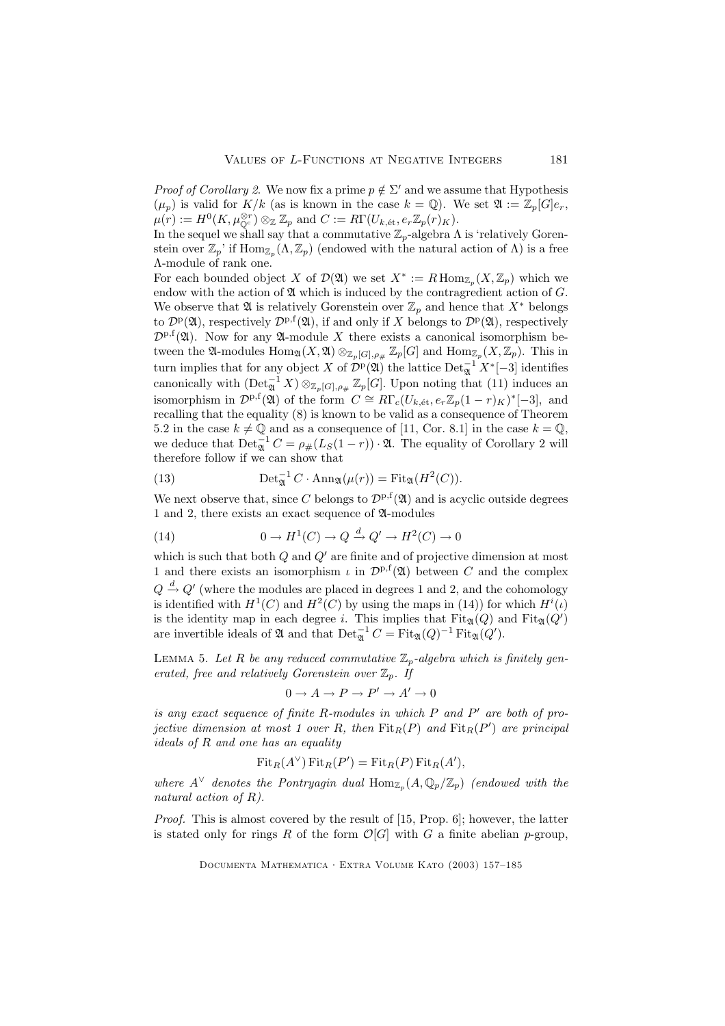*Proof of Corollary 2.* We now fix a prime  $p \notin \Sigma'$  and we assume that Hypothesis  $(\mu_p)$  is valid for  $K/k$  (as is known in the case  $k = \mathbb{Q}$ ). We set  $\mathfrak{A} := \mathbb{Z}_p[G]e_r$ ,  $\mu(r) := H^0(K, \mu_{\mathbb{Q}^c}^{\otimes r}) \otimes_{\mathbb{Z}} \mathbb{Z}_p$  and  $C := R\Gamma(U_{k, \text{\'et}}, e_r\mathbb{Z}_p(r)_K)$ .

In the sequel we shall say that a commutative  $\mathbb{Z}_p$ -algebra  $\Lambda$  is 'relatively Gorenstein over  $\mathbb{Z}_p$ ' if  $\text{Hom}_{\mathbb{Z}_p}(\Lambda, \mathbb{Z}_p)$  (endowed with the natural action of  $\Lambda$ ) is a free Λ-module of rank one.

For each bounded object X of  $\mathcal{D}(\mathfrak{A})$  we set  $X^* := R \operatorname{Hom}_{\mathbb{Z}_p}(X, \mathbb{Z}_p)$  which we endow with the action of  $\mathfrak A$  which is induced by the contragredient action of  $G$ . We observe that  $\mathfrak A$  is relatively Gorenstein over  $\mathbb Z_p$  and hence that  $X^*$  belongs to  $\mathcal{D}^{\text{p}}(\mathfrak{A})$ , respectively  $\mathcal{D}^{\text{p},\text{f}}(\mathfrak{A})$ , if and only if X belongs to  $\mathcal{D}^{\text{p}}(\mathfrak{A})$ , respectively  $\mathcal{D}^{p,f}(\mathfrak{A})$ . Now for any  $\mathfrak{A}\text{-module }X$  there exists a canonical isomorphism between the  $\mathfrak{A}\text{-modules Hom}_{\mathfrak{A}}(X,\mathfrak{A})\otimes_{\mathbb{Z}_p[G],\rho_{\#}}\mathbb{Z}_p[G]$  and  $\text{Hom}_{\mathbb{Z}_p}(X,\mathbb{Z}_p)$ . This in turn implies that for any object X of  $\mathcal{D}^p(\mathfrak{A})$  the lattice  $\mathrm{Det}_{\mathfrak{A}}^{-1} X^*[-3]$  identifies canonically with  $(\text{Det}_{\mathfrak{A}}^{-1} X) \otimes_{\mathbb{Z}_p[G], \rho_{\#}} \mathbb{Z}_p[G]$ . Upon noting that (11) induces an isomorphism in  $\mathcal{D}^{p,f}(\mathfrak{A})$  of the form  $C \cong R\Gamma_c(U_{k, \text{\'et}}, e_r\mathbb{Z}_p(1-r)_K)^*[-3]$ , and recalling that the equality (8) is known to be valid as a consequence of Theorem 5.2 in the case  $k \neq \mathbb{Q}$  and as a consequence of [11, Cor. 8.1] in the case  $k = \mathbb{Q}$ , we deduce that  $\text{Det}_{\mathfrak{A}}^{-1} C = \rho_{\#}(L_S(1-r)) \cdot \mathfrak{A}$ . The equality of Corollary 2 will therefore follow if we can show that

(13) 
$$
\operatorname{Det}_{\mathfrak{A}}^{-1} C \cdot \operatorname{Ann}_{\mathfrak{A}}(\mu(r)) = \operatorname{Fit}_{\mathfrak{A}}(H^2(C)).
$$

We next observe that, since C belongs to  $\mathcal{D}^{p,f}(\mathfrak{A})$  and is acyclic outside degrees 1 and 2, there exists an exact sequence of A-modules

(14) 
$$
0 \to H^1(C) \to Q \xrightarrow{d} Q' \to H^2(C) \to 0
$$

which is such that both  $Q$  and  $Q'$  are finite and of projective dimension at most 1 and there exists an isomorphism  $\iota$  in  $\mathcal{D}^{p,f}(\mathfrak{A})$  between C and the complex  $Q \stackrel{d}{\rightarrow} Q'$  (where the modules are placed in degrees 1 and 2, and the cohomology is identified with  $H^1(C)$  and  $H^2(C)$  by using the maps in (14)) for which  $H^i(\iota)$ is the identity map in each degree i. This implies that  $\text{Fit}_{\mathfrak{A}}(Q)$  and  $\text{Fit}_{\mathfrak{A}}(Q')$ are invertible ideals of  $\mathfrak A$  and that  $\mathrm{Det}_{\mathfrak A}^{-1} C = \mathrm{Fit}_{\mathfrak A}(Q)^{-1} \mathrm{Fit}_{\mathfrak A}(Q').$ 

LEMMA 5. Let R be any reduced commutative  $\mathbb{Z}_p$ -algebra which is finitely generated, free and relatively Gorenstein over  $\mathbb{Z}_p$ . If

$$
0 \to A \to P \to P' \to A' \to 0
$$

is any exact sequence of finite  $R$ -modules in which  $P$  and  $P'$  are both of projective dimension at most 1 over R, then  $\text{Fit}_R(P)$  and  $\text{Fit}_R(P')$  are principal ideals of R and one has an equality

$$
FitR(A∨) FitR(P') = FitR(P) FitR(A'),
$$

where  $A^{\vee}$  denotes the Pontryagin dual  $\text{Hom}_{\mathbb{Z}_p}(A,\mathbb{Q}_p/\mathbb{Z}_p)$  (endowed with the natural action of R).

Proof. This is almost covered by the result of [15, Prop. 6]; however, the latter is stated only for rings R of the form  $\mathcal{O}[G]$  with G a finite abelian p-group,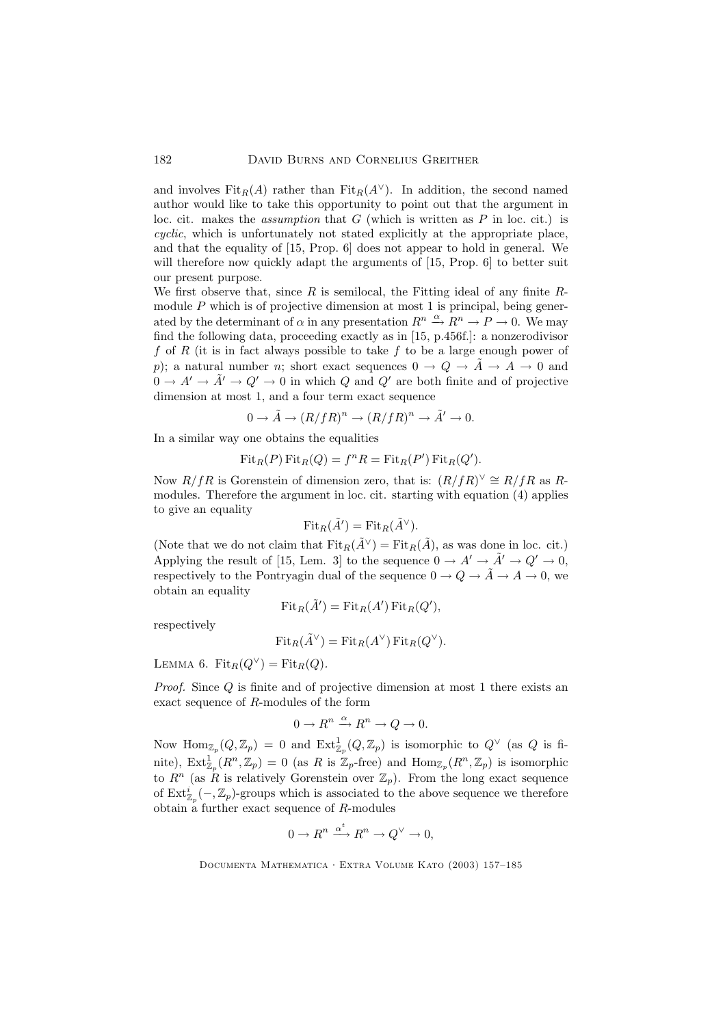and involves  $\text{Fit}_R(A)$  rather than  $\text{Fit}_R(A^{\vee})$ . In addition, the second named author would like to take this opportunity to point out that the argument in loc. cit. makes the *assumption* that  $G$  (which is written as  $P$  in loc. cit.) is cyclic, which is unfortunately not stated explicitly at the appropriate place, and that the equality of [15, Prop. 6] does not appear to hold in general. We will therefore now quickly adapt the arguments of [15, Prop. 6] to better suit our present purpose.

We first observe that, since R is semilocal, the Fitting ideal of any finite  $R$ module  $P$  which is of projective dimension at most 1 is principal, being generated by the determinant of  $\alpha$  in any presentation  $R^n \stackrel{\alpha}{\rightarrow} R^n \rightarrow P \rightarrow 0$ . We may find the following data, proceeding exactly as in [15, p.456f.]: a nonzerodivisor f of R (it is in fact always possible to take f to be a large enough power of p); a natural number n; short exact sequences  $0 \to Q \to \tilde{A} \to A \to 0$  and  $0 \to A' \to \tilde{A}' \to Q' \to 0$  in which Q and Q' are both finite and of projective dimension at most 1, and a four term exact sequence

$$
0 \to \tilde{A} \to (R/fR)^n \to (R/fR)^n \to \tilde{A}' \to 0.
$$

In a similar way one obtains the equalities

$$
FitR(P) FitR(Q) = fnR = FitR(P') FitR(Q').
$$

Now  $R/fR$  is Gorenstein of dimension zero, that is:  $(R/fR)^{\vee} \cong R/fR$  as Rmodules. Therefore the argument in loc. cit. starting with equation (4) applies to give an equality

$$
\mathrm{Fit}_R(\tilde{A}') = \mathrm{Fit}_R(\tilde{A}^{\vee}).
$$

(Note that we do not claim that  $Fit_R(\tilde{A}^{\vee}) = Fit_R(\tilde{A})$ , as was done in loc. cit.) Applying the result of [15, Lem. 3] to the sequence  $0 \to A' \to \tilde{A}' \to Q' \to 0$ , respectively to the Pontryagin dual of the sequence  $0 \to Q \to \tilde{A} \to A \to 0$ , we obtain an equality

$$
FitR(\tilde{A}') = FitR(A') FitR(Q'),
$$

respectively

$$
Fit_R(\tilde{A}^{\vee}) = Fit_R(A^{\vee}) Fit_R(Q^{\vee}).
$$

LEMMA 6. Fit<sub>R</sub> $(Q^{\vee}) =$ Fit<sub>R</sub> $(Q)$ .

Proof. Since Q is finite and of projective dimension at most 1 there exists an exact sequence of R-modules of the form

$$
0 \to R^n \xrightarrow{\alpha} R^n \to Q \to 0.
$$

Now  $\text{Hom}_{\mathbb{Z}_p}(Q,\mathbb{Z}_p) = 0$  and  $\text{Ext}^1_{\mathbb{Z}_p}(Q,\mathbb{Z}_p)$  is isomorphic to  $Q^\vee$  (as  $Q$  is finite),  $\text{Ext}^1_{\mathbb{Z}_p}(R^n,\mathbb{Z}_p) = 0$  (as R is  $\mathbb{Z}_p$ -free) and  $\text{Hom}_{\mathbb{Z}_p}(R^n,\mathbb{Z}_p)$  is isomorphic to  $R^n$  (as R is relatively Gorenstein over  $\mathbb{Z}_p$ ). From the long exact sequence of  $\text{Ext}^i_{\mathbb{Z}_p}(-,\mathbb{Z}_p)$ -groups which is associated to the above sequence we therefore obtain a further exact sequence of  $R$ -modules

$$
0 \to R^n \xrightarrow{\alpha^t} R^n \to Q^\vee \to 0,
$$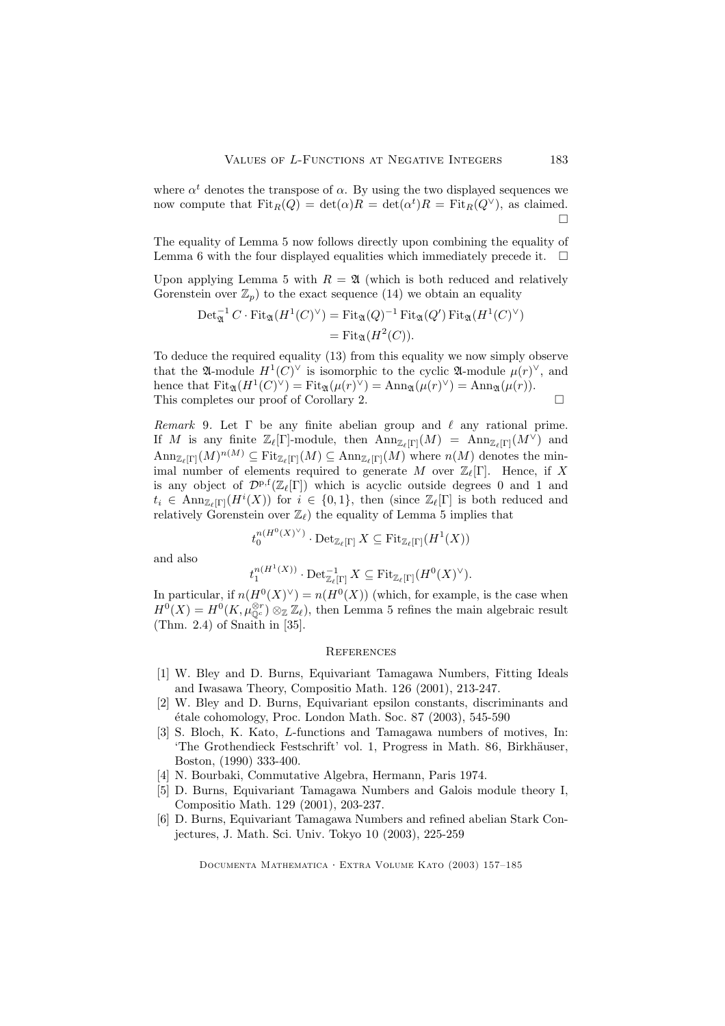where  $\alpha^t$  denotes the transpose of  $\alpha$ . By using the two displayed sequences we now compute that  $Fit_R(Q) = det(\alpha)R = det(\alpha^t)R = Fit_R(Q^{\vee})$ , as claimed.  $\Box$ 

The equality of Lemma 5 now follows directly upon combining the equality of Lemma 6 with the four displayed equalities which immediately precede it.  $\Box$ 

Upon applying Lemma 5 with  $R = \mathfrak{A}$  (which is both reduced and relatively Gorenstein over  $\mathbb{Z}_p$ ) to the exact sequence (14) we obtain an equality

$$
Det_{\mathfrak{A}}^{-1} C \cdot \mathrm{Fit}_{\mathfrak{A}}(H^1(C)^{\vee}) = \mathrm{Fit}_{\mathfrak{A}}(Q)^{-1} \mathrm{Fit}_{\mathfrak{A}}(Q') \mathrm{ Fit}_{\mathfrak{A}}(H^1(C)^{\vee})
$$
  
= 
$$
\mathrm{Fit}_{\mathfrak{A}}(H^2(C)).
$$

To deduce the required equality (13) from this equality we now simply observe that the  $\mathfrak{A}\text{-module } H^1(C)^\vee$  is isomorphic to the cyclic  $\mathfrak{A}\text{-module } \mu(r)^\vee$ , and hence that  $\text{Fit}_{\mathfrak{A}}(H^1(C)^\vee) = \text{Fit}_{\mathfrak{A}}(\mu(r)^\vee) = \text{Ann}_{\mathfrak{A}}(\mu(r)^\vee) = \text{Ann}_{\mathfrak{A}}(\mu(r)).$ This completes our proof of Corollary 2.  $\Box$ 

Remark 9. Let  $\Gamma$  be any finite abelian group and  $\ell$  any rational prime. If M is any finite  $\mathbb{Z}_{\ell}[\Gamma]$ -module, then  $\text{Ann}_{\mathbb{Z}_{\ell}[\Gamma]}(M) = \text{Ann}_{\mathbb{Z}_{\ell}[\Gamma]}(M^{\vee})$  and  $\text{Ann}_{\mathbb{Z}_{\ell}[\Gamma]}(M)^{n(M)} \subseteq \text{Fit}_{\mathbb{Z}_{\ell}[\Gamma]}(M) \subseteq \text{Ann}_{\mathbb{Z}_{\ell}[\Gamma]}(M)$  where  $n(M)$  denotes the minimal number of elements required to generate M over  $\mathbb{Z}_{\ell}[\Gamma]$ . Hence, if X is any object of  $\mathcal{D}^{p,f}(\mathbb{Z}_{\ell}[\Gamma])$  which is acyclic outside degrees 0 and 1 and  $t_i \in \text{Ann}_{\mathbb{Z}_\ell[\Gamma]}(H^i(X))$  for  $i \in \{0,1\}$ , then (since  $\mathbb{Z}_\ell[\Gamma]$  is both reduced and relatively Gorenstein over  $\mathbb{Z}_{\ell}$  the equality of Lemma 5 implies that

$$
t_0^{n(H^0(X)^\vee)}\cdot \operatorname{Det}_{\mathbb{Z}_\ell[\Gamma]} X \subseteq \operatorname{Fit}_{\mathbb{Z}_\ell[\Gamma]}(H^1(X))
$$

and also

$$
t_1^{n(H^1(X))}\cdot \operatorname{Det}_{\mathbb{Z}_\ell[\Gamma]}^{-1}X\subseteq \operatorname{Fit}_{\mathbb{Z}_\ell[\Gamma]}(H^0(X)^\vee).
$$

In particular, if  $n(H^0(X)^{\vee}) = n(H^0(X))$  (which, for example, is the case when  $H^0(X) = H^0(K, \mu_{\mathbb{Q}^c}^{\otimes r}) \otimes_{\mathbb{Z}} \mathbb{Z}_{\ell}$ , then Lemma 5 refines the main algebraic result (Thm. 2.4) of Snaith in [35].

#### **REFERENCES**

- [1] W. Bley and D. Burns, Equivariant Tamagawa Numbers, Fitting Ideals and Iwasawa Theory, Compositio Math. 126 (2001), 213-247.
- [2] W. Bley and D. Burns, Equivariant epsilon constants, discriminants and  $\alpha$  etale cohomology, Proc. London Math. Soc. 87 (2003), 545-590
- [3] S. Bloch, K. Kato, L-functions and Tamagawa numbers of motives, In: 'The Grothendieck Festschrift' vol. 1, Progress in Math. 86, Birkhäuser, Boston, (1990) 333-400.
- [4] N. Bourbaki, Commutative Algebra, Hermann, Paris 1974.
- [5] D. Burns, Equivariant Tamagawa Numbers and Galois module theory I, Compositio Math. 129 (2001), 203-237.
- [6] D. Burns, Equivariant Tamagawa Numbers and refined abelian Stark Conjectures, J. Math. Sci. Univ. Tokyo 10 (2003), 225-259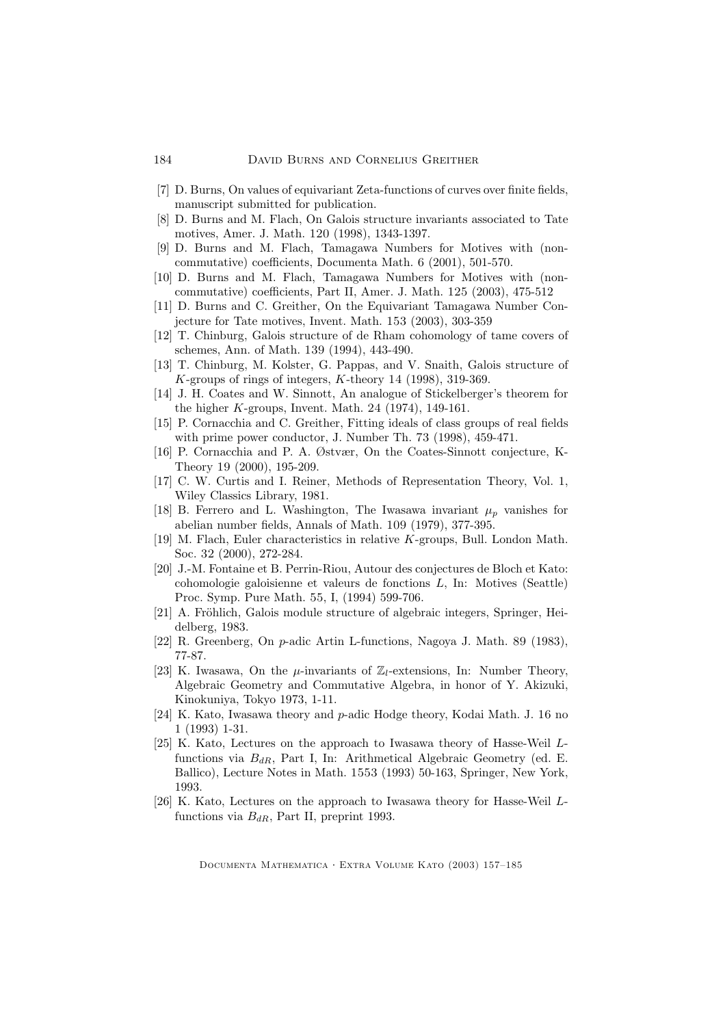- [7] D. Burns, On values of equivariant Zeta-functions of curves over finite fields, manuscript submitted for publication.
- [8] D. Burns and M. Flach, On Galois structure invariants associated to Tate motives, Amer. J. Math. 120 (1998), 1343-1397.
- [9] D. Burns and M. Flach, Tamagawa Numbers for Motives with (noncommutative) coefficients, Documenta Math. 6 (2001), 501-570.
- [10] D. Burns and M. Flach, Tamagawa Numbers for Motives with (noncommutative) coefficients, Part II, Amer. J. Math. 125 (2003), 475-512
- [11] D. Burns and C. Greither, On the Equivariant Tamagawa Number Conjecture for Tate motives, Invent. Math. 153 (2003), 303-359
- [12] T. Chinburg, Galois structure of de Rham cohomology of tame covers of schemes, Ann. of Math. 139 (1994), 443-490.
- [13] T. Chinburg, M. Kolster, G. Pappas, and V. Snaith, Galois structure of  $K$ -groups of rings of integers,  $K$ -theory 14 (1998), 319-369.
- [14] J. H. Coates and W. Sinnott, An analogue of Stickelberger's theorem for the higher K-groups, Invent. Math. 24 (1974), 149-161.
- [15] P. Cornacchia and C. Greither, Fitting ideals of class groups of real fields with prime power conductor, J. Number Th. 73 (1998), 459-471.
- [16] P. Cornacchia and P. A. Østvær, On the Coates-Sinnott conjecture, K-Theory 19 (2000), 195-209.
- [17] C. W. Curtis and I. Reiner, Methods of Representation Theory, Vol. 1, Wiley Classics Library, 1981.
- [18] B. Ferrero and L. Washington, The Iwasawa invariant  $\mu_p$  vanishes for abelian number fields, Annals of Math. 109 (1979), 377-395.
- [19] M. Flach, Euler characteristics in relative K-groups, Bull. London Math. Soc. 32 (2000), 272-284.
- [20] J.-M. Fontaine et B. Perrin-Riou, Autour des conjectures de Bloch et Kato: cohomologie galoisienne et valeurs de fonctions L, In: Motives (Seattle) Proc. Symp. Pure Math. 55, I, (1994) 599-706.
- [21] A. Fröhlich, Galois module structure of algebraic integers, Springer, Heidelberg, 1983.
- [22] R. Greenberg, On p-adic Artin L-functions, Nagoya J. Math. 89 (1983), 77-87.
- [23] K. Iwasawa, On the *u*-invariants of  $\mathbb{Z}_l$ -extensions, In: Number Theory, Algebraic Geometry and Commutative Algebra, in honor of Y. Akizuki, Kinokuniya, Tokyo 1973, 1-11.
- [24] K. Kato, Iwasawa theory and p-adic Hodge theory, Kodai Math. J. 16 no 1 (1993) 1-31.
- [25] K. Kato, Lectures on the approach to Iwasawa theory of Hasse-Weil Lfunctions via  $B_{dR}$ , Part I, In: Arithmetical Algebraic Geometry (ed. E. Ballico), Lecture Notes in Math. 1553 (1993) 50-163, Springer, New York, 1993.
- [26] K. Kato, Lectures on the approach to Iwasawa theory for Hasse-Weil Lfunctions via  $B_{dR}$ , Part II, preprint 1993.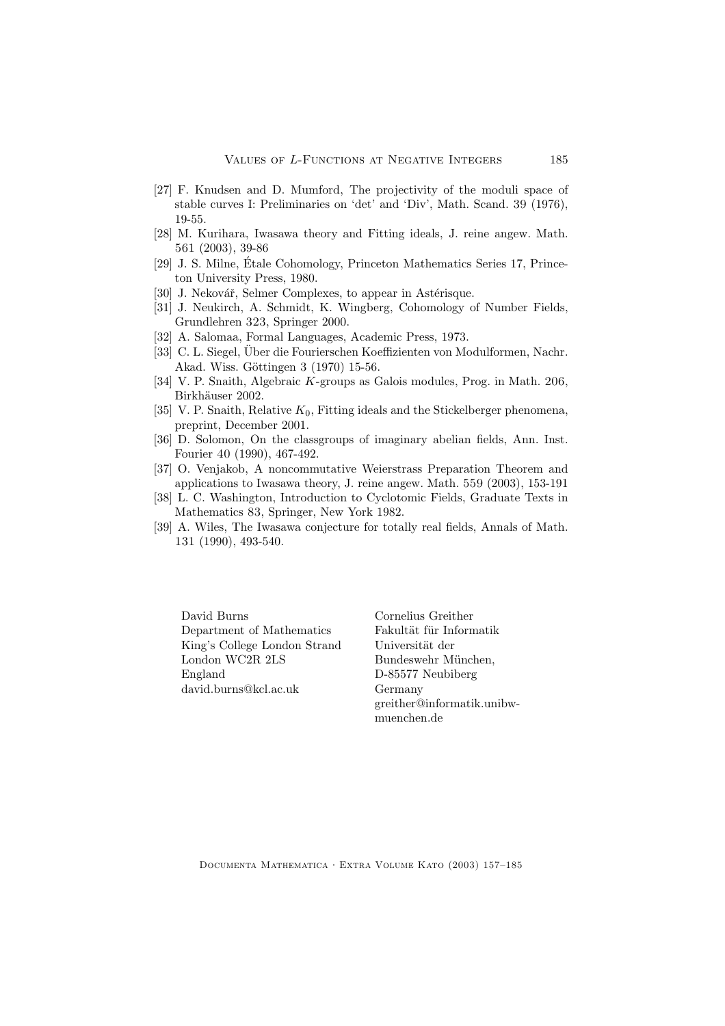- [27] F. Knudsen and D. Mumford, The projectivity of the moduli space of stable curves I: Preliminaries on 'det' and 'Div', Math. Scand. 39 (1976), 19-55.
- [28] M. Kurihara, Iwasawa theory and Fitting ideals, J. reine angew. Math. 561 (2003), 39-86
- [29] J. S. Milne, Étale Cohomology, Princeton Mathematics Series 17, Princeton University Press, 1980.
- [30] J. Nekovář, Selmer Complexes, to appear in Astérisque.
- [31] J. Neukirch, A. Schmidt, K. Wingberg, Cohomology of Number Fields, Grundlehren 323, Springer 2000.
- [32] A. Salomaa, Formal Languages, Academic Press, 1973.
- [33] C. L. Siegel, Über die Fourierschen Koeffizienten von Modulformen, Nachr. Akad. Wiss. Göttingen 3 (1970) 15-56.
- [34] V. P. Snaith, Algebraic K-groups as Galois modules, Prog. in Math. 206, Birkhäuser 2002.
- [35] V. P. Snaith, Relative  $K_0$ , Fitting ideals and the Stickelberger phenomena, preprint, December 2001.
- [36] D. Solomon, On the classgroups of imaginary abelian fields, Ann. Inst. Fourier 40 (1990), 467-492.
- [37] O. Venjakob, A noncommutative Weierstrass Preparation Theorem and applications to Iwasawa theory, J. reine angew. Math. 559 (2003), 153-191
- [38] L. C. Washington, Introduction to Cyclotomic Fields, Graduate Texts in Mathematics 83, Springer, New York 1982.
- [39] A. Wiles, The Iwasawa conjecture for totally real fields, Annals of Math. 131 (1990), 493-540.

David Burns Department of Mathematics King's College London Strand London WC2R 2LS England david.burns@kcl.ac.uk

Cornelius Greither Fakultät für Informatik Universität der Bundeswehr München, D-85577 Neubiberg Germany greither@informatik.unibwmuenchen.de